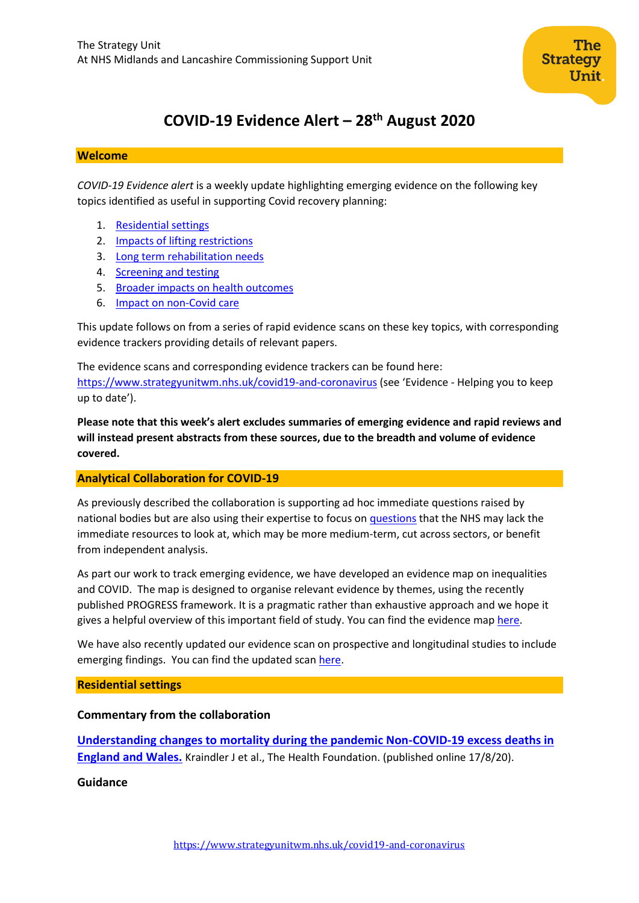

# **COVID-19 Evidence Alert – 28th August 2020**

#### **Welcome**

*COVID-19 Evidence alert* is a weekly update highlighting emerging evidence on the following key topics identified as useful in supporting Covid recovery planning:

- 1. [Residential settings](#page-0-0)
- 2. Impacts of lifting restrictions
- 3. Long term rehabilitation needs
- 4. [Screening and testing](#page-9-0)
- 5. Broader impacts on health outcomes
- 6. Impact on non-Covid care

This update follows on from a series of rapid evidence scans on these key topics, with corresponding evidence trackers providing details of relevant papers.

The evidence scans and corresponding evidence trackers can be found here: <https://www.strategyunitwm.nhs.uk/covid19-and-coronavirus> (see 'Evidence - Helping you to keep up to date').

**Please note that this week's alert excludes summaries of emerging evidence and rapid reviews and will instead present abstracts from these sources, due to the breadth and volume of evidence covered.**

#### <span id="page-0-0"></span>**Analytical Collaboration for COVID-19**

As previously described the collaboration is supporting ad hoc immediate questions raised by national bodies but are also using their expertise to focus on [questions](https://www.strategyunitwm.nhs.uk/sites/default/files/2020-05/Covid%20Collaboration%20Summaries_0.pdf) that the NHS may lack the immediate resources to look at, which may be more medium-term, cut across sectors, or benefit from independent analysis.

As part our work to track emerging evidence, we have developed an evidence map on inequalities and COVID. The map is designed to organise relevant evidence by themes, using the recently published PROGRESS framework. It is a pragmatic rather than exhaustive approach and we hope it gives a helpful overview of this important field of study. You can find the evidence ma[p here.](https://www.strategyunitwm.nhs.uk/sites/default/files/2020-08/20200821%20COVID-19%20and%20inequalities%20evidence%20map.xlsx)

We have also recently updated our evidence scan on prospective and longitudinal studies to include emerging findings. You can find the updated scan [here.](https://www.strategyunitwm.nhs.uk/sites/default/files/2020-08/20200821%20Evidence%20rapid%20scan%207%20-%20Prospective%20population%20studies.pdf)

#### **Residential settings**

#### **Commentary from the collaboration**

**[Understanding changes to mortality during the pandemic Non-COVID-19 excess deaths in](https://www.health.org.uk/news-and-comment/charts-and-infographics/understanding-changes-to-all-mortality-during-the-pandemic)  [England and Wales.](https://www.health.org.uk/news-and-comment/charts-and-infographics/understanding-changes-to-all-mortality-during-the-pandemic)** Kraindler J et al., The Health Foundation. (published online 17/8/20).

#### **Guidance**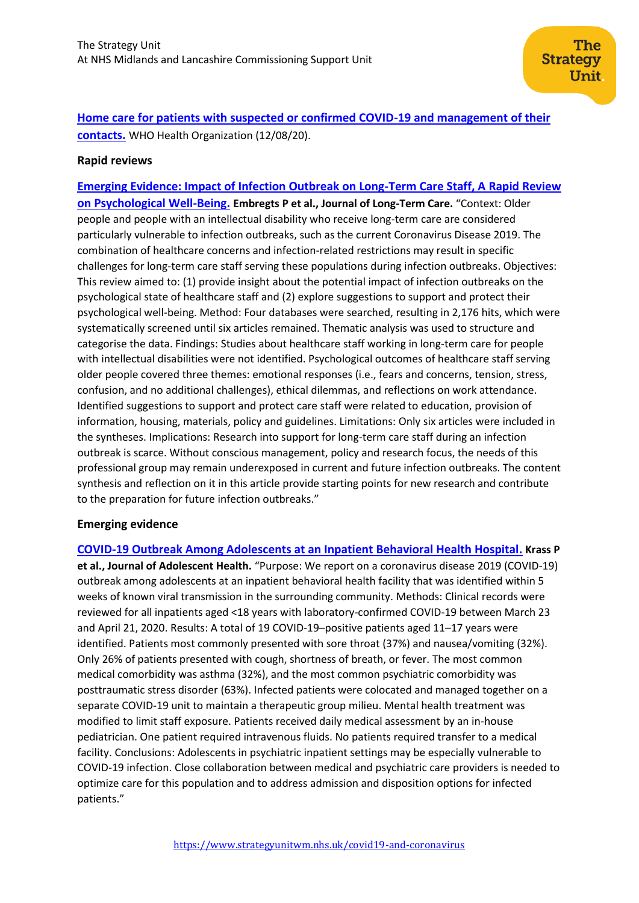**[Home care for patients with suspected or confirmed COVID-19 and management of their](https://www.who.int/publications/i/item/home-care-for-patients-with-suspected-novel-coronavirus-(ncov)-infection-presenting-with-mild-symptoms-and-management-of-contacts)  [contacts.](https://www.who.int/publications/i/item/home-care-for-patients-with-suspected-novel-coronavirus-(ncov)-infection-presenting-with-mild-symptoms-and-management-of-contacts)** WHO Health Organization (12/08/20).

#### **Rapid reviews**

**[Emerging Evidence: Impact of Infection Outbreak on Long-Term Care Staff, A Rapid Review](https://journal.ilpnetwork.org/article/10.31389/jltc.40/)  [on Psychological Well-Being.](https://journal.ilpnetwork.org/article/10.31389/jltc.40/) Embregts P et al., Journal of Long-Term Care.** "Context: Older people and people with an intellectual disability who receive long-term care are considered particularly vulnerable to infection outbreaks, such as the current Coronavirus Disease 2019. The combination of healthcare concerns and infection-related restrictions may result in specific challenges for long-term care staff serving these populations during infection outbreaks. Objectives: This review aimed to: (1) provide insight about the potential impact of infection outbreaks on the psychological state of healthcare staff and (2) explore suggestions to support and protect their psychological well-being. Method: Four databases were searched, resulting in 2,176 hits, which were systematically screened until six articles remained. Thematic analysis was used to structure and categorise the data. Findings: Studies about healthcare staff working in long-term care for people with intellectual disabilities were not identified. Psychological outcomes of healthcare staff serving older people covered three themes: emotional responses (i.e., fears and concerns, tension, stress, confusion, and no additional challenges), ethical dilemmas, and reflections on work attendance. Identified suggestions to support and protect care staff were related to education, provision of information, housing, materials, policy and guidelines. Limitations: Only six articles were included in the syntheses. Implications: Research into support for long-term care staff during an infection outbreak is scarce. Without conscious management, policy and research focus, the needs of this professional group may remain underexposed in current and future infection outbreaks. The content synthesis and reflection on it in this article provide starting points for new research and contribute to the preparation for future infection outbreaks."

#### **Emerging evidence**

**[COVID-19 Outbreak Among Adolescents at an Inpatient Behavioral Health Hospital.](https://www.jahonline.org/article/S1054-139X(20)30406-7/fulltext) Krass P et al., Journal of Adolescent Health.** "Purpose: We report on a coronavirus disease 2019 (COVID-19) outbreak among adolescents at an inpatient behavioral health facility that was identified within 5 weeks of known viral transmission in the surrounding community. Methods: Clinical records were reviewed for all inpatients aged <18 years with laboratory-confirmed COVID-19 between March 23 and April 21, 2020. Results: A total of 19 COVID-19–positive patients aged 11–17 years were identified. Patients most commonly presented with sore throat (37%) and nausea/vomiting (32%). Only 26% of patients presented with cough, shortness of breath, or fever. The most common medical comorbidity was asthma (32%), and the most common psychiatric comorbidity was posttraumatic stress disorder (63%). Infected patients were colocated and managed together on a separate COVID-19 unit to maintain a therapeutic group milieu. Mental health treatment was modified to limit staff exposure. Patients received daily medical assessment by an in-house pediatrician. One patient required intravenous fluids. No patients required transfer to a medical facility. Conclusions: Adolescents in psychiatric inpatient settings may be especially vulnerable to COVID-19 infection. Close collaboration between medical and psychiatric care providers is needed to optimize care for this population and to address admission and disposition options for infected patients."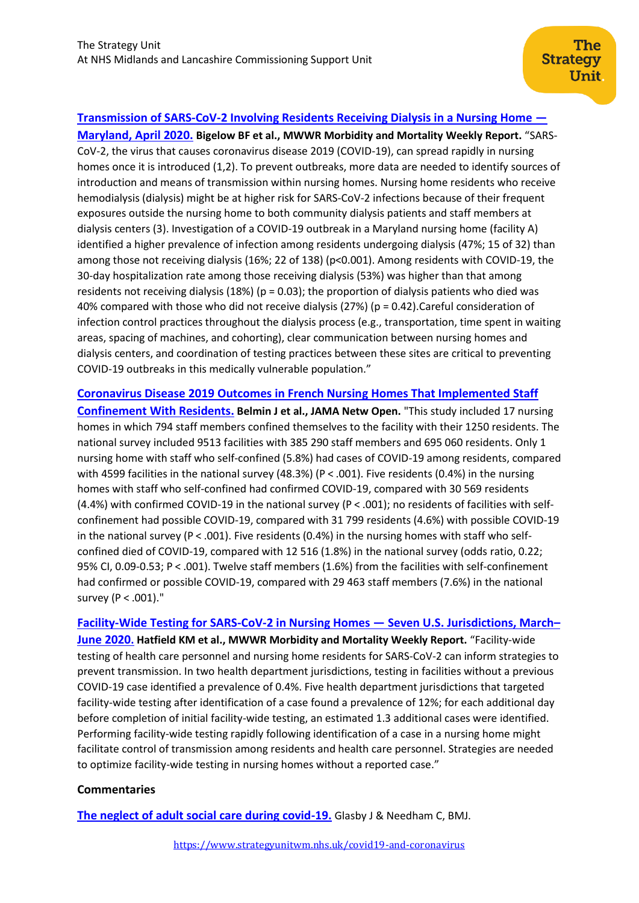## **[Transmission of SARS-CoV-2 Involving Residents Receiving Dialysis in a Nursing Home](https://www.cdc.gov/mmwr/volumes/69/wr/mm6932e4.htm) —**

**[Maryland, April 2020.](https://www.cdc.gov/mmwr/volumes/69/wr/mm6932e4.htm) Bigelow BF et al., MWWR Morbidity and Mortality Weekly Report.** "SARS-CoV-2, the virus that causes coronavirus disease 2019 (COVID-19), can spread rapidly in nursing homes once it is introduced (1,2). To prevent outbreaks, more data are needed to identify sources of introduction and means of transmission within nursing homes. Nursing home residents who receive hemodialysis (dialysis) might be at higher risk for SARS-CoV-2 infections because of their frequent exposures outside the nursing home to both community dialysis patients and staff members at dialysis centers (3). Investigation of a COVID-19 outbreak in a Maryland nursing home (facility A) identified a higher prevalence of infection among residents undergoing dialysis (47%; 15 of 32) than among those not receiving dialysis (16%; 22 of 138) (p<0.001). Among residents with COVID-19, the 30-day hospitalization rate among those receiving dialysis (53%) was higher than that among residents not receiving dialysis (18%) ( $p = 0.03$ ); the proportion of dialysis patients who died was 40% compared with those who did not receive dialysis (27%) (p = 0.42).Careful consideration of infection control practices throughout the dialysis process (e.g., transportation, time spent in waiting areas, spacing of machines, and cohorting), clear communication between nursing homes and dialysis centers, and coordination of testing practices between these sites are critical to preventing COVID-19 outbreaks in this medically vulnerable population."

### **[Coronavirus Disease 2019 Outcomes in French Nursing Homes That Implemented Staff](https://jamanetwork.com/journals/jamanetworkopen/fullarticle/2769241)**

**[Confinement With Residents.](https://jamanetwork.com/journals/jamanetworkopen/fullarticle/2769241) Belmin J et al., JAMA Netw Open.** "This study included 17 nursing homes in which 794 staff members confined themselves to the facility with their 1250 residents. The national survey included 9513 facilities with 385 290 staff members and 695 060 residents. Only 1 nursing home with staff who self-confined (5.8%) had cases of COVID-19 among residents, compared with 4599 facilities in the national survey (48.3%) (P < .001). Five residents (0.4%) in the nursing homes with staff who self-confined had confirmed COVID-19, compared with 30 569 residents (4.4%) with confirmed COVID-19 in the national survey (P < .001); no residents of facilities with selfconfinement had possible COVID-19, compared with 31 799 residents (4.6%) with possible COVID-19 in the national survey ( $P < .001$ ). Five residents (0.4%) in the nursing homes with staff who selfconfined died of COVID-19, compared with 12 516 (1.8%) in the national survey (odds ratio, 0.22; 95% CI, 0.09-0.53; P < .001). Twelve staff members (1.6%) from the facilities with self-confinement had confirmed or possible COVID-19, compared with 29 463 staff members (7.6%) in the national survey (P < .001)."

**[Facility-Wide Testing for SARS-CoV-2 in Nursing Homes](https://www.cdc.gov/mmwr/volumes/69/wr/mm6932e5.htm?s_cid=mm6932e5_w) — Seven U.S. Jurisdictions, March– [June 2020](https://www.cdc.gov/mmwr/volumes/69/wr/mm6932e5.htm?s_cid=mm6932e5_w). Hatfield KM et al., MWWR Morbidity and Mortality Weekly Report.** "Facility-wide testing of health care personnel and nursing home residents for SARS-CoV-2 can inform strategies to prevent transmission. In two health department jurisdictions, testing in facilities without a previous COVID-19 case identified a prevalence of 0.4%. Five health department jurisdictions that targeted facility-wide testing after identification of a case found a prevalence of 12%; for each additional day before completion of initial facility-wide testing, an estimated 1.3 additional cases were identified. Performing facility-wide testing rapidly following identification of a case in a nursing home might facilitate control of transmission among residents and health care personnel. Strategies are needed to optimize facility-wide testing in nursing homes without a reported case."

## **Commentaries**

**[The neglect of adult social care during covid-19.](https://www.bmj.com/content/370/bmj.m3103.full)** Glasby J & Needham C, BMJ.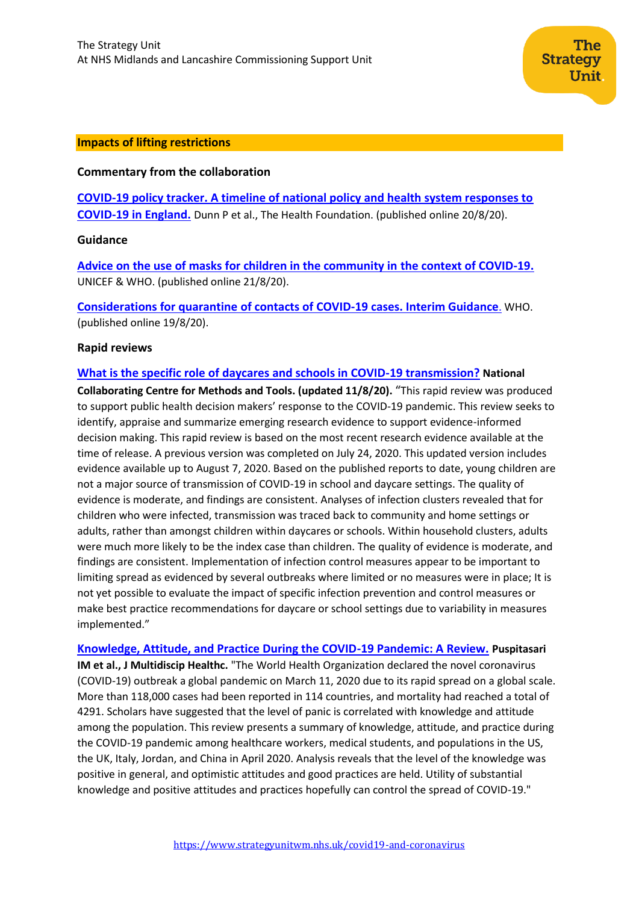#### **Impacts of lifting restrictions**

### **Commentary from the collaboration**

**[COVID-19 policy tracker. A timeline of national policy and health system responses to](https://www.health.org.uk/news-and-comment/charts-and-infographics/covid-19-policy-tracker)  [COVID-19 in England.](https://www.health.org.uk/news-and-comment/charts-and-infographics/covid-19-policy-tracker)** Dunn P et al., The Health Foundation. (published online 20/8/20).

#### **Guidance**

**[Advice on the use of masks for children in the community in](https://www.who.int/publications/i/item/WHO-2019-nCoV-IPC_Masks-Children-2020.1) the context of COVID-19.** UNICEF & WHO. (published online 21/8/20).

**[Considerations for quarantine of contacts of COVID-19](https://www.who.int/publications/i/item/considerations-for-quarantine-of-individuals-in-the-context-of-containment-for-coronavirus-disease-(covid-19)) cases. Interim Guidanc[e](https://www.who.int/publications/i/item/considerations-for-quarantine-of-individuals-in-the-context-of-containment-for-coronavirus-disease-(covid-19))**. WHO. (published online 19/8/20).

#### **Rapid reviews**

#### **What is the specific role [of daycares and schools in COVID-19](https://www.nccmt.ca/uploads/media/media/0001/02/abcd49ee4ca50c57e5e9c8130894915e5fdd6bd4.pdf) transmission? National**

**Collaborating Centre for Methods and Tools. (updated 11/8/20).** "This rapid review was produced to support public health decision makers' response to the COVID-19 pandemic. This review seeks to identify, appraise and summarize emerging research evidence to support evidence-informed decision making. This rapid review is based on the most recent research evidence available at the time of release. A previous version was completed on July 24, 2020. This updated version includes evidence available up to August 7, 2020. Based on the published reports to date, young children are not a major source of transmission of COVID-19 in school and daycare settings. The quality of evidence is moderate, and findings are consistent. Analyses of infection clusters revealed that for children who were infected, transmission was traced back to community and home settings or adults, rather than amongst children within daycares or schools. Within household clusters, adults were much more likely to be the index case than children. The quality of evidence is moderate, and findings are consistent. Implementation of infection control measures appear to be important to limiting spread as evidenced by several outbreaks where limited or no measures were in place; It is not yet possible to evaluate the impact of specific infection prevention and control measures or make best practice recommendations for daycare or school settings due to variability in measures implemented."

**[Knowledge, Attitude, and Practice During the COVID-19 Pandemic: A Review.](https://www.dovepress.com/knowledge-attitude-and-practice-during-the-covid-19-pandemic-a-review-peer-reviewed-article-JMDH) Puspitasari IM et al., J Multidiscip Healthc.** "The World Health Organization declared the novel coronavirus (COVID-19) outbreak a global pandemic on March 11, 2020 due to its rapid spread on a global scale. More than 118,000 cases had been reported in 114 countries, and mortality had reached a total of 4291. Scholars have suggested that the level of panic is correlated with knowledge and attitude among the population. This review presents a summary of knowledge, attitude, and practice during the COVID-19 pandemic among healthcare workers, medical students, and populations in the US, the UK, Italy, Jordan, and China in April 2020. Analysis reveals that the level of the knowledge was positive in general, and optimistic attitudes and good practices are held. Utility of substantial knowledge and positive attitudes and practices hopefully can control the spread of COVID-19."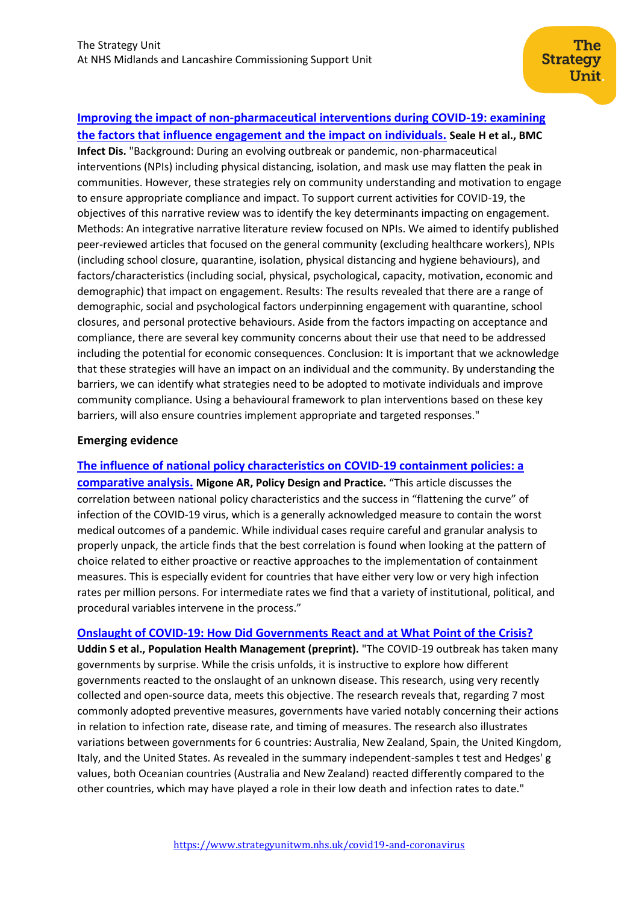# **[Improving the impact of non-pharmaceutical interventions during COVID-19: examining](https://pubmed.ncbi.nlm.nih.gov/32807087/)**

**[the factors that influence engagement and the impact on individuals.](https://pubmed.ncbi.nlm.nih.gov/32807087/) Seale H et al., BMC Infect Dis.** "Background: During an evolving outbreak or pandemic, non-pharmaceutical interventions (NPIs) including physical distancing, isolation, and mask use may flatten the peak in communities. However, these strategies rely on community understanding and motivation to engage to ensure appropriate compliance and impact. To support current activities for COVID-19, the objectives of this narrative review was to identify the key determinants impacting on engagement. Methods: An integrative narrative literature review focused on NPIs. We aimed to identify published peer-reviewed articles that focused on the general community (excluding healthcare workers), NPIs (including school closure, quarantine, isolation, physical distancing and hygiene behaviours), and factors/characteristics (including social, physical, psychological, capacity, motivation, economic and demographic) that impact on engagement. Results: The results revealed that there are a range of demographic, social and psychological factors underpinning engagement with quarantine, school closures, and personal protective behaviours. Aside from the factors impacting on acceptance and compliance, there are several key community concerns about their use that need to be addressed including the potential for economic consequences. Conclusion: It is important that we acknowledge that these strategies will have an impact on an individual and the community. By understanding the barriers, we can identify what strategies need to be adopted to motivate individuals and improve community compliance. Using a behavioural framework to plan interventions based on these key barriers, will also ensure countries implement appropriate and targeted responses."

## **Emerging evidence**

**[The influence of national policy characteristics on COVID-19 containment policies: a](https://www.tandfonline.com/doi/full/10.1080/25741292.2020.1804660)** 

**[comparative analysis.](https://www.tandfonline.com/doi/full/10.1080/25741292.2020.1804660) Migone AR, Policy Design and Practice.** "This article discusses the correlation between national policy characteristics and the success in "flattening the curve" of infection of the COVID-19 virus, which is a generally acknowledged measure to contain the worst medical outcomes of a pandemic. While individual cases require careful and granular analysis to properly unpack, the article finds that the best correlation is found when looking at the pattern of choice related to either proactive or reactive approaches to the implementation of containment measures. This is especially evident for countries that have either very low or very high infection rates per million persons. For intermediate rates we find that a variety of institutional, political, and procedural variables intervene in the process."

**[Onslaught of COVID-19: How Did Governments React and at What Point of the Crisis?](https://www.liebertpub.com/doi/10.1089/pop.2020.0138)**

**Uddin S et al., Population Health Management (preprint).** "The COVID-19 outbreak has taken many governments by surprise. While the crisis unfolds, it is instructive to explore how different governments reacted to the onslaught of an unknown disease. This research, using very recently collected and open-source data, meets this objective. The research reveals that, regarding 7 most commonly adopted preventive measures, governments have varied notably concerning their actions in relation to infection rate, disease rate, and timing of measures. The research also illustrates variations between governments for 6 countries: Australia, New Zealand, Spain, the United Kingdom, Italy, and the United States. As revealed in the summary independent-samples t test and Hedges' g values, both Oceanian countries (Australia and New Zealand) reacted differently compared to the other countries, which may have played a role in their low death and infection rates to date."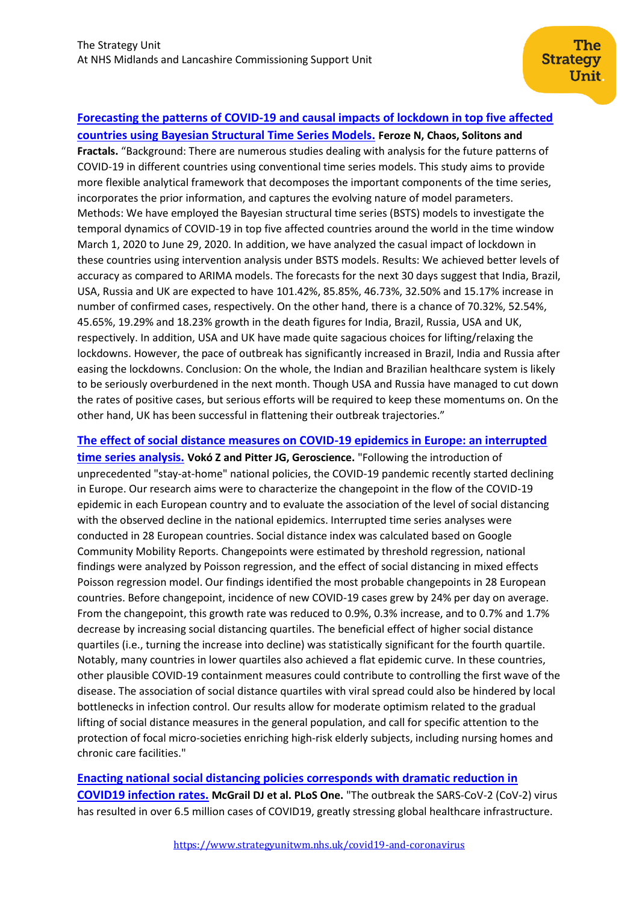## **[Forecasting the patterns of COVID-19 and causal impacts of lockdown in top five affected](https://www.sciencedirect.com/science/article/pii/S0960077920305920)**

**[countries using Bayesian Structural Time Series Models.](https://www.sciencedirect.com/science/article/pii/S0960077920305920) Feroze N, Chaos, Solitons and Fractals.** "Background: There are numerous studies dealing with analysis for the future patterns of COVID-19 in different countries using conventional time series models. This study aims to provide more flexible analytical framework that decomposes the important components of the time series, incorporates the prior information, and captures the evolving nature of model parameters. Methods: We have employed the Bayesian structural time series (BSTS) models to investigate the temporal dynamics of COVID-19 in top five affected countries around the world in the time window March 1, 2020 to June 29, 2020. In addition, we have analyzed the casual impact of lockdown in these countries using intervention analysis under BSTS models. Results: We achieved better levels of accuracy as compared to ARIMA models. The forecasts for the next 30 days suggest that India, Brazil, USA, Russia and UK are expected to have 101.42%, 85.85%, 46.73%, 32.50% and 15.17% increase in number of confirmed cases, respectively. On the other hand, there is a chance of 70.32%, 52.54%, 45.65%, 19.29% and 18.23% growth in the death figures for India, Brazil, Russia, USA and UK, respectively. In addition, USA and UK have made quite sagacious choices for lifting/relaxing the lockdowns. However, the pace of outbreak has significantly increased in Brazil, India and Russia after easing the lockdowns. Conclusion: On the whole, the Indian and Brazilian healthcare system is likely to be seriously overburdened in the next month. Though USA and Russia have managed to cut down the rates of positive cases, but serious efforts will be required to keep these momentums on. On the other hand, UK has been successful in flattening their outbreak trajectories."

### **[The effect of social distance measures on COVID-19 epidemics in Europe: an interrupted](https://pubmed.ncbi.nlm.nih.gov/32529592/)**

**[time series analysis.](https://pubmed.ncbi.nlm.nih.gov/32529592/) Vokó Z and Pitter JG, Geroscience.** "Following the introduction of unprecedented "stay-at-home" national policies, the COVID-19 pandemic recently started declining in Europe. Our research aims were to characterize the changepoint in the flow of the COVID-19 epidemic in each European country and to evaluate the association of the level of social distancing with the observed decline in the national epidemics. Interrupted time series analyses were conducted in 28 European countries. Social distance index was calculated based on Google Community Mobility Reports. Changepoints were estimated by threshold regression, national findings were analyzed by Poisson regression, and the effect of social distancing in mixed effects Poisson regression model. Our findings identified the most probable changepoints in 28 European countries. Before changepoint, incidence of new COVID-19 cases grew by 24% per day on average. From the changepoint, this growth rate was reduced to 0.9%, 0.3% increase, and to 0.7% and 1.7% decrease by increasing social distancing quartiles. The beneficial effect of higher social distance quartiles (i.e., turning the increase into decline) was statistically significant for the fourth quartile. Notably, many countries in lower quartiles also achieved a flat epidemic curve. In these countries, other plausible COVID-19 containment measures could contribute to controlling the first wave of the disease. The association of social distance quartiles with viral spread could also be hindered by local bottlenecks in infection control. Our results allow for moderate optimism related to the gradual lifting of social distance measures in the general population, and call for specific attention to the protection of focal micro-societies enriching high-risk elderly subjects, including nursing homes and chronic care facilities."

**[Enacting national social distancing policies corresponds with dramatic reduction in](https://pubmed.ncbi.nlm.nih.gov/32730356/)  [COVID19 infection rates.](https://pubmed.ncbi.nlm.nih.gov/32730356/) McGrail DJ et al. PLoS One.** "The outbreak the SARS-CoV-2 (CoV-2) virus has resulted in over 6.5 million cases of COVID19, greatly stressing global healthcare infrastructure.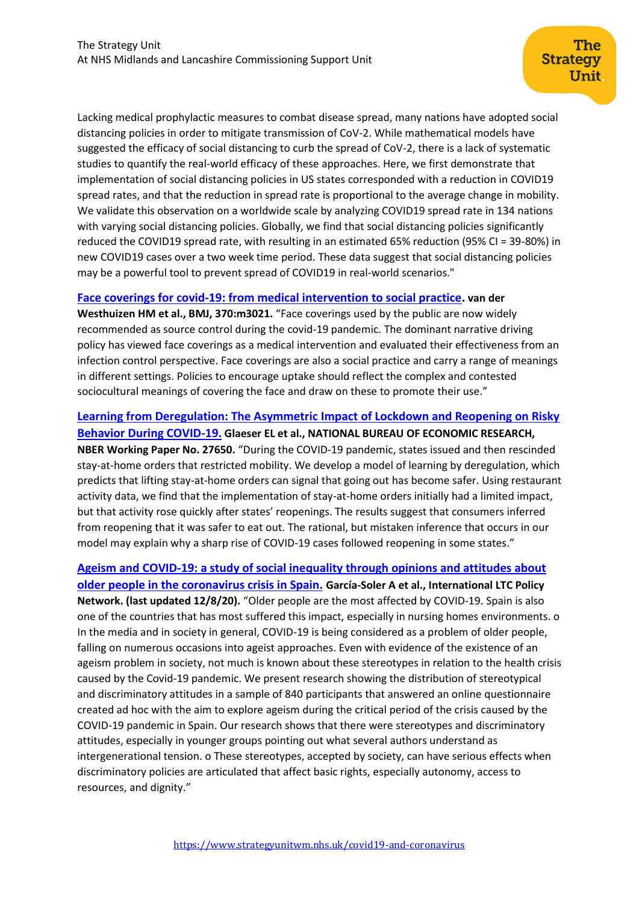Lacking medical prophylactic measures to combat disease spread, many nations have adopted social distancing policies in order to mitigate transmission of CoV-2. While mathematical models have suggested the efficacy of social distancing to curb the spread of CoV-2, there is a lack of systematic studies to quantify the real-world efficacy of these approaches. Here, we first demonstrate that implementation of social distancing policies in US states corresponded with a reduction in COVID19 spread rates, and that the reduction in spread rate is proportional to the average change in mobility. We validate this observation on a worldwide scale by analyzing COVID19 spread rate in 134 nations with varying social distancing policies. Globally, we find that social distancing policies significantly reduced the COVID19 spread rate, with resulting in an estimated 65% reduction (95% CI = 39-80%) in new COVID19 cases over a two week time period. These data suggest that social distancing policies may be a powerful tool to prevent spread of COVID19 in real-world scenarios."

#### **[Face coverings for covid-19: from medical intervention to social practice.](https://www.bmj.com/content/370/bmj.m3021) van der**

**Westhuizen HM et al., BMJ, 370:m3021.** "Face coverings used by the public are now widely recommended as source control during the covid-19 pandemic. The dominant narrative driving policy has viewed face coverings as a medical intervention and evaluated their effectiveness from an infection control perspective. Face coverings are also a social practice and carry a range of meanings in different settings. Policies to encourage uptake should reflect the complex and contested sociocultural meanings of covering the face and draw on these to promote their use."

## **Learning from Deregulation: The Asymmetric [Impact of Lockdown and Reopening on Risky](https://www.nber.org/papers/w27650)  [Behavior During COVID-19.](https://www.nber.org/papers/w27650) Glaeser EL et al., NATIONAL BUREAU OF ECONOMIC RESEARCH, NBER Working Paper No. 27650.** "During the COVID-19 pandemic, states issued and then rescinded stay-at-home orders that restricted mobility. We develop a model of learning by deregulation, which predicts that lifting stay-at-home orders can signal that going out has become safer. Using restaurant activity data, we find that the implementation of stay-at-home orders initially had a limited impact, but that activity rose quickly after states' reopenings. The results suggest that consumers inferred from reopening that it was safer to eat out. The rational, but mistaken inference that occurs in our model may explain why a sharp rise of COVID-19 cases followed reopening in some states."

# **[Ageism and COVID-19: a study of social inequality through opinions and attitudes about](https://ltccovid.org/wp-content/uploads/2020/08/COVID-and-ageism-an-attitudes-survey-in-Spain.pdf)**

**[older people in the coronavirus crisis in Spain.](https://ltccovid.org/wp-content/uploads/2020/08/COVID-and-ageism-an-attitudes-survey-in-Spain.pdf) García-Soler A et al., International LTC Policy Network. (last updated 12/8/20).** "Older people are the most affected by COVID-19. Spain is also one of the countries that has most suffered this impact, especially in nursing homes environments. o In the media and in society in general, COVID-19 is being considered as a problem of older people, falling on numerous occasions into ageist approaches. Even with evidence of the existence of an ageism problem in society, not much is known about these stereotypes in relation to the health crisis caused by the Covid-19 pandemic. We present research showing the distribution of stereotypical and discriminatory attitudes in a sample of 840 participants that answered an online questionnaire created ad hoc with the aim to explore ageism during the critical period of the crisis caused by the COVID-19 pandemic in Spain. Our research shows that there were stereotypes and discriminatory attitudes, especially in younger groups pointing out what several authors understand as intergenerational tension. o These stereotypes, accepted by society, can have serious effects when discriminatory policies are articulated that affect basic rights, especially autonomy, access to resources, and dignity."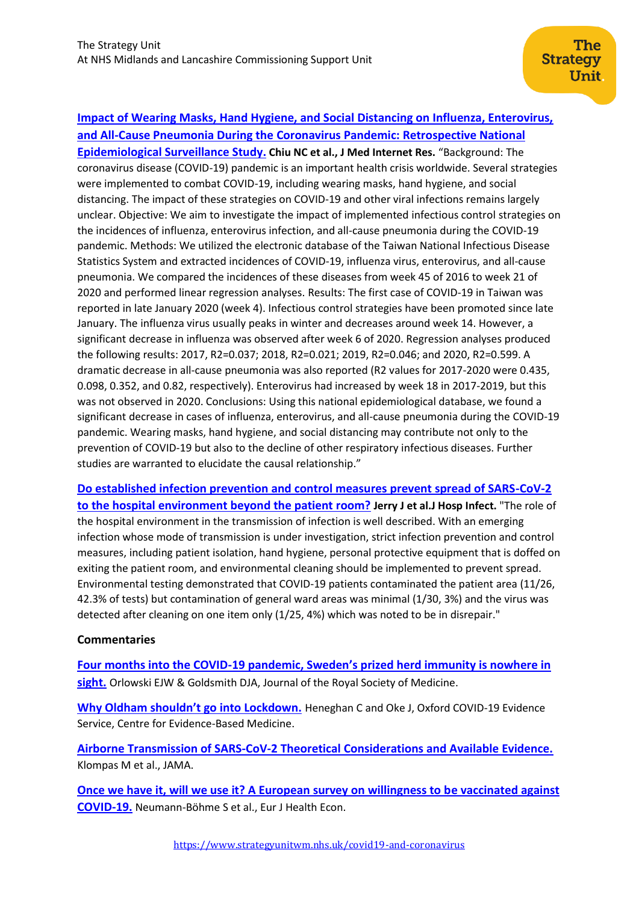**[Impact of Wearing Masks, Hand Hygiene, and Social Distancing on Influenza, Enterovirus,](https://www.jmir.org/2020/8/e21257/)  and All-Cause Pneumonia During the [Coronavirus Pandemic: Retrospective National](https://www.jmir.org/2020/8/e21257/)** 

**[Epidemiological Surveillance Study.](https://www.jmir.org/2020/8/e21257/) Chiu NC et al., J Med Internet Res.** "Background: The coronavirus disease (COVID-19) pandemic is an important health crisis worldwide. Several strategies were implemented to combat COVID-19, including wearing masks, hand hygiene, and social distancing. The impact of these strategies on COVID-19 and other viral infections remains largely unclear. Objective: We aim to investigate the impact of implemented infectious control strategies on the incidences of influenza, enterovirus infection, and all-cause pneumonia during the COVID-19 pandemic. Methods: We utilized the electronic database of the Taiwan National Infectious Disease Statistics System and extracted incidences of COVID-19, influenza virus, enterovirus, and all-cause pneumonia. We compared the incidences of these diseases from week 45 of 2016 to week 21 of 2020 and performed linear regression analyses. Results: The first case of COVID-19 in Taiwan was reported in late January 2020 (week 4). Infectious control strategies have been promoted since late January. The influenza virus usually peaks in winter and decreases around week 14. However, a significant decrease in influenza was observed after week 6 of 2020. Regression analyses produced the following results: 2017, R2=0.037; 2018, R2=0.021; 2019, R2=0.046; and 2020, R2=0.599. A dramatic decrease in all-cause pneumonia was also reported (R2 values for 2017-2020 were 0.435, 0.098, 0.352, and 0.82, respectively). Enterovirus had increased by week 18 in 2017-2019, but this was not observed in 2020. Conclusions: Using this national epidemiological database, we found a significant decrease in cases of influenza, enterovirus, and all-cause pneumonia during the COVID-19 pandemic. Wearing masks, hand hygiene, and social distancing may contribute not only to the prevention of COVID-19 but also to the decline of other respiratory infectious diseases. Further studies are warranted to elucidate the causal relationship."

**[Do established infection prevention and control measures prevent spread of SARS-CoV-2](https://pubmed.ncbi.nlm.nih.gov/32590011/)  [to the hospital environment beyond the patient room?](https://pubmed.ncbi.nlm.nih.gov/32590011/) Jerry J et al.J Hosp Infect.** "The role of the hospital environment in the transmission of infection is well described. With an emerging infection whose mode of transmission is under investigation, strict infection prevention and control measures, including patient isolation, hand hygiene, personal protective equipment that is doffed on exiting the patient room, and environmental cleaning should be implemented to prevent spread. Environmental testing demonstrated that COVID-19 patients contaminated the patient area (11/26, 42.3% of tests) but contamination of general ward areas was minimal (1/30, 3%) and the virus was detected after cleaning on one item only (1/25, 4%) which was noted to be in disrepair."

## **Commentaries**

**Four months into the COVID-[19 pandemic, Sweden's prized herd immunity is nowhere in](https://journals.sagepub.com/doi/pdf/10.1177/0141076820945282)  [sight.](https://journals.sagepub.com/doi/pdf/10.1177/0141076820945282)** Orlowski EJW & Goldsmith DJA, Journal of the Royal Society of Medicine.

**[Why Oldham shouldn't go into Lockdown.](https://www.cebm.net/covid-19/why-oldham-shouldnt-go-into-lockdown/)** Heneghan C and Oke J, Oxford COVID-19 Evidence Service, Centre for Evidence-Based Medicine.

**[Airborne Transmission of SARS-CoV-2 Theoretical Considerations and Available Evidence.](https://jamanetwork.com/journals/jama/fullarticle/2768396)** Klompas M et al., JAMA.

**[Once we have it, will we use it? A European survey on willingness to be vaccinated against](https://pubmed.ncbi.nlm.nih.gov/32591957/)  [COVID-19.](https://pubmed.ncbi.nlm.nih.gov/32591957/)** Neumann-Böhme S et al., Eur J Health Econ.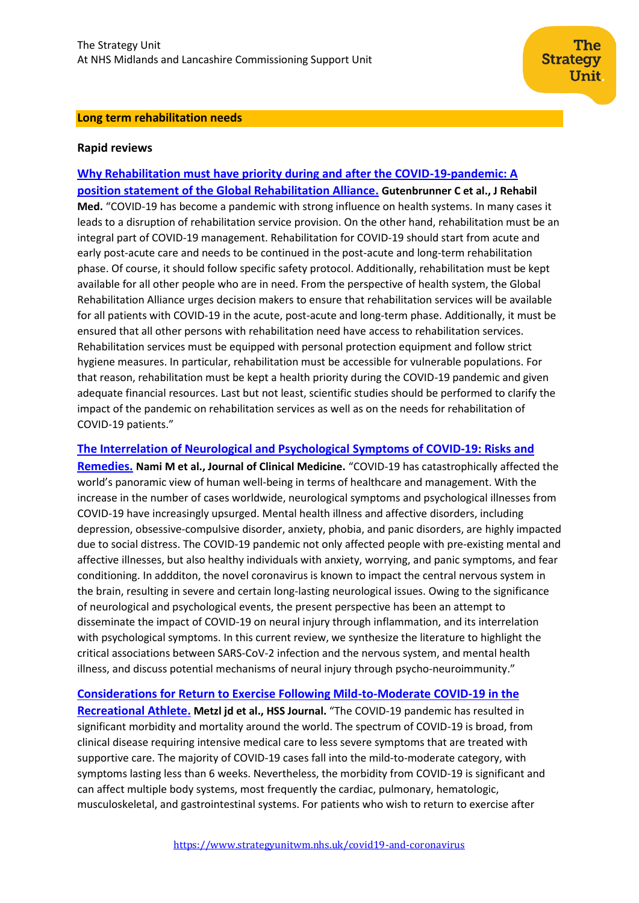#### **Long term rehabilitation needs**

#### **Rapid reviews**

**[Why Rehabilitation must have priority during and after the COVID-19-pandemic: A](https://pubmed.ncbi.nlm.nih.gov/32719884/)  [position statement of the Global Rehabilitation Alliance.](https://pubmed.ncbi.nlm.nih.gov/32719884/) Gutenbrunner C et al., J Rehabil Med.** "COVID-19 has become a pandemic with strong influence on health systems. In many cases it leads to a disruption of rehabilitation service provision. On the other hand, rehabilitation must be an integral part of COVID-19 management. Rehabilitation for COVID-19 should start from acute and early post-acute care and needs to be continued in the post-acute and long-term rehabilitation phase. Of course, it should follow specific safety protocol. Additionally, rehabilitation must be kept available for all other people who are in need. From the perspective of health system, the Global Rehabilitation Alliance urges decision makers to ensure that rehabilitation services will be available for all patients with COVID-19 in the acute, post-acute and long-term phase. Additionally, it must be ensured that all other persons with rehabilitation need have access to rehabilitation services. Rehabilitation services must be equipped with personal protection equipment and follow strict hygiene measures. In particular, rehabilitation must be accessible for vulnerable populations. For that reason, rehabilitation must be kept a health priority during the COVID-19 pandemic and given adequate financial resources. Last but not least, scientific studies should be performed to clarify the impact of the pandemic on rehabilitation services as well as on the needs for rehabilitation of COVID-19 patients."

**[The Interrelation of Neurological and Psychological Symptoms of COVID-19: Risks and](https://www.mdpi.com/2077-0383/9/8/2624/htm)**

**[Remedies.](https://www.mdpi.com/2077-0383/9/8/2624/htm) Nami M et al., Journal of Clinical Medicine.** "COVID-19 has catastrophically affected the world's panoramic view of human well-being in terms of healthcare and management. With the increase in the number of cases worldwide, neurological symptoms and psychological illnesses from COVID-19 have increasingly upsurged. Mental health illness and affective disorders, including depression, obsessive-compulsive disorder, anxiety, phobia, and panic disorders, are highly impacted due to social distress. The COVID-19 pandemic not only affected people with pre-existing mental and affective illnesses, but also healthy individuals with anxiety, worrying, and panic symptoms, and fear conditioning. In addditon, the novel coronavirus is known to impact the central nervous system in the brain, resulting in severe and certain long-lasting neurological issues. Owing to the significance of neurological and psychological events, the present perspective has been an attempt to disseminate the impact of COVID-19 on neural injury through inflammation, and its interrelation with psychological symptoms. In this current review, we synthesize the literature to highlight the critical associations between SARS-CoV-2 infection and the nervous system, and mental health illness, and discuss potential mechanisms of neural injury through psycho-neuroimmunity."

**[Considerations for Return to Exercise Following Mild-to-Moderate COVID-19 in the](https://link.springer.com/article/10.1007/s11420-020-09777-1)  [Recreational Athlete.](https://link.springer.com/article/10.1007/s11420-020-09777-1) Metzl jd et al., HSS Journal.** "The COVID-19 pandemic has resulted in significant morbidity and mortality around the world. The spectrum of COVID-19 is broad, from clinical disease requiring intensive medical care to less severe symptoms that are treated with supportive care. The majority of COVID-19 cases fall into the mild-to-moderate category, with symptoms lasting less than 6 weeks. Nevertheless, the morbidity from COVID-19 is significant and can affect multiple body systems, most frequently the cardiac, pulmonary, hematologic, musculoskeletal, and gastrointestinal systems. For patients who wish to return to exercise after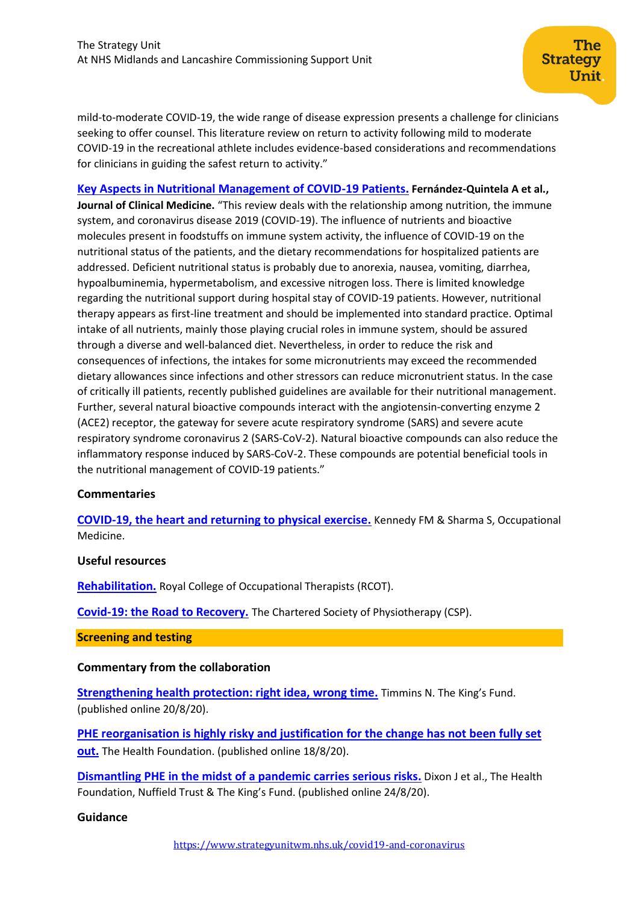The

Unit.

**Strategy** 

**[Key Aspects in Nutritional Management of COVID-19 Patients.](https://www.mdpi.com/2077-0383/9/8/2589) Fernández-Quintela A et al., Journal of Clinical Medicine.** "This review deals with the relationship among nutrition, the immune system, and coronavirus disease 2019 (COVID-19). The influence of nutrients and bioactive molecules present in foodstuffs on immune system activity, the influence of COVID-19 on the nutritional status of the patients, and the dietary recommendations for hospitalized patients are addressed. Deficient nutritional status is probably due to anorexia, nausea, vomiting, diarrhea, hypoalbuminemia, hypermetabolism, and excessive nitrogen loss. There is limited knowledge regarding the nutritional support during hospital stay of COVID-19 patients. However, nutritional therapy appears as first-line treatment and should be implemented into standard practice. Optimal intake of all nutrients, mainly those playing crucial roles in immune system, should be assured through a diverse and well-balanced diet. Nevertheless, in order to reduce the risk and consequences of infections, the intakes for some micronutrients may exceed the recommended dietary allowances since infections and other stressors can reduce micronutrient status. In the case of critically ill patients, recently published guidelines are available for their nutritional management. Further, several natural bioactive compounds interact with the angiotensin-converting enzyme 2 (ACE2) receptor, the gateway for severe acute respiratory syndrome (SARS) and severe acute respiratory syndrome coronavirus 2 (SARS-CoV-2). Natural bioactive compounds can also reduce the inflammatory response induced by SARS-CoV-2. These compounds are potential beneficial tools in the nutritional management of COVID-19 patients."

## **Commentaries**

**[COVID-19, the heart and returning to physical exercise.](https://academic.oup.com/occmed/advance-article/doi/10.1093/occmed/kqaa154/5894846)** Kennedy FM & Sharma S, Occupational Medicine.

#### <span id="page-9-0"></span>**Useful resources**

**[Rehabilitation.](https://www.rcot.co.uk/node/3474)** Royal College of Occupational Therapists (RCOT).

**[Covid-19: the Road to Recovery.](https://www.csp.org.uk/public-patient/covid-19-road-recovery)** The Chartered Society of Physiotherapy (CSP).

#### **Screening and testing**

#### **Commentary from the collaboration**

**[Strengthening health protection: right idea,](https://www.kingsfund.org.uk/blog/2020/08/strengthening-health-protection-right-idea-wrong-time) wrong time.** Timmins N. The King's Fund. (published online 20/8/20).

**[PHE reorganisation is highly risky and justification for the change has not been fully set](https://www.health.org.uk/news-and-comment/news/phe-reorganisation-is-highly-risky-and-justification-has-not-been-fully-set-out)  [out.](https://www.health.org.uk/news-and-comment/news/phe-reorganisation-is-highly-risky-and-justification-has-not-been-fully-set-out)** The Health Foundation. (published online 18/8/20).

**[Dismantling PHE in the midst of a pandemic carries serious risks.](https://www.health.org.uk/news-and-comment/news/dismantling-phe-in-the-midst-of-a-pandemic-carries-serious-risks)** Dixon J et al., The Health Foundation, Nuffield Trust & The King's Fund. (published online 24/8/20).

#### **Guidance**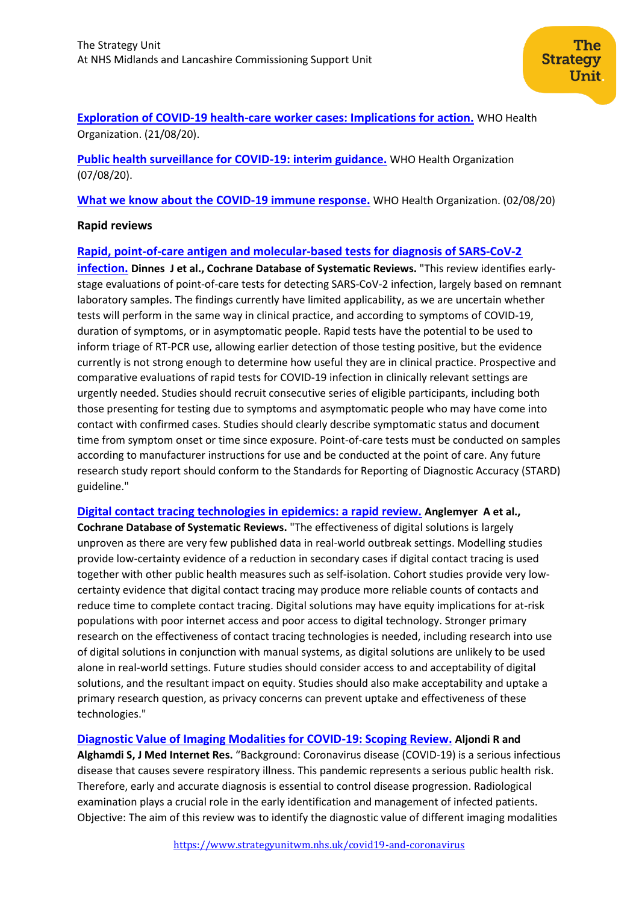## **[Exploration of COVID-19 health-care worker cases: Implications for action.](https://apps.who.int/iris/handle/10665/333945)** WHO Health Organization. (21/08/20).

**[Public health surveillance for COVID-19: interim guidance.](https://www.who.int/publications/i/item/who-2019-nCoV-surveillanceguidance-2020.7)** WHO Health Organization (07/08/20).

**[What we know about the COVID-19 immune response.](https://www.who.int/docs/default-source/coronaviruse/risk-comms-updates/update-34-immunity-2nd.pdf)** WHO Health Organization. (02/08/20)

### **Rapid reviews**

## **[Rapid, point‐of‐care antigen and molecular‐based tests for diagnosis of SARS‐CoV‐2](https://www.cochranelibrary.com/cdsr/doi/10.1002/14651858.CD013705/full)**

**[infection.](https://www.cochranelibrary.com/cdsr/doi/10.1002/14651858.CD013705/full) Dinnes J et al., Cochrane Database of Systematic Reviews.** "This review identifies early‐ stage evaluations of point‐of‐care tests for detecting SARS‐CoV‐2 infection, largely based on remnant laboratory samples. The findings currently have limited applicability, as we are uncertain whether tests will perform in the same way in clinical practice, and according to symptoms of COVID‐19, duration of symptoms, or in asymptomatic people. Rapid tests have the potential to be used to inform triage of RT‐PCR use, allowing earlier detection of those testing positive, but the evidence currently is not strong enough to determine how useful they are in clinical practice. Prospective and comparative evaluations of rapid tests for COVID‐19 infection in clinically relevant settings are urgently needed. Studies should recruit consecutive series of eligible participants, including both those presenting for testing due to symptoms and asymptomatic people who may have come into contact with confirmed cases. Studies should clearly describe symptomatic status and document time from symptom onset or time since exposure. Point-of-care tests must be conducted on samples according to manufacturer instructions for use and be conducted at the point of care. Any future research study report should conform to the Standards for Reporting of Diagnostic Accuracy (STARD) guideline."

**[Digital contact tracing technologies in epidemics: a rapid review.](https://www.cochranelibrary.com/cdsr/doi/10.1002/14651858.CD013699/full) Anglemyer A et al.,** 

**Cochrane Database of Systematic Reviews.** "The effectiveness of digital solutions is largely unproven as there are very few published data in real‐world outbreak settings. Modelling studies provide low‐certainty evidence of a reduction in secondary cases if digital contact tracing is used together with other public health measures such as self-isolation. Cohort studies provide very lowcertainty evidence that digital contact tracing may produce more reliable counts of contacts and reduce time to complete contact tracing. Digital solutions may have equity implications for at‐risk populations with poor internet access and poor access to digital technology. Stronger primary research on the effectiveness of contact tracing technologies is needed, including research into use of digital solutions in conjunction with manual systems, as digital solutions are unlikely to be used alone in real‐world settings. Future studies should consider access to and acceptability of digital solutions, and the resultant impact on equity. Studies should also make acceptability and uptake a primary research question, as privacy concerns can prevent uptake and effectiveness of these technologies."

## **[Diagnostic Value of Imaging Modalities for COVID-19: Scoping Review.](https://www.jmir.org/2020/8/e19673/) Aljondi R and**

**Alghamdi S, J Med Internet Res.** "Background: Coronavirus disease (COVID-19) is a serious infectious disease that causes severe respiratory illness. This pandemic represents a serious public health risk. Therefore, early and accurate diagnosis is essential to control disease progression. Radiological examination plays a crucial role in the early identification and management of infected patients. Objective: The aim of this review was to identify the diagnostic value of different imaging modalities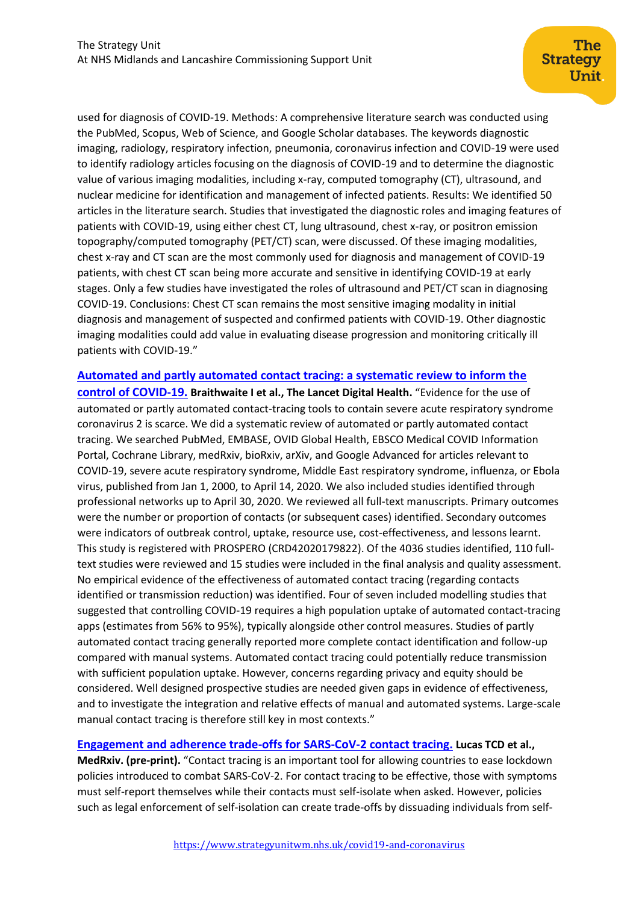used for diagnosis of COVID-19. Methods: A comprehensive literature search was conducted using the PubMed, Scopus, Web of Science, and Google Scholar databases. The keywords diagnostic imaging, radiology, respiratory infection, pneumonia, coronavirus infection and COVID-19 were used to identify radiology articles focusing on the diagnosis of COVID-19 and to determine the diagnostic value of various imaging modalities, including x-ray, computed tomography (CT), ultrasound, and nuclear medicine for identification and management of infected patients. Results: We identified 50 articles in the literature search. Studies that investigated the diagnostic roles and imaging features of patients with COVID-19, using either chest CT, lung ultrasound, chest x-ray, or positron emission topography/computed tomography (PET/CT) scan, were discussed. Of these imaging modalities, chest x-ray and CT scan are the most commonly used for diagnosis and management of COVID-19 patients, with chest CT scan being more accurate and sensitive in identifying COVID-19 at early stages. Only a few studies have investigated the roles of ultrasound and PET/CT scan in diagnosing COVID-19. Conclusions: Chest CT scan remains the most sensitive imaging modality in initial diagnosis and management of suspected and confirmed patients with COVID-19. Other diagnostic imaging modalities could add value in evaluating disease progression and monitoring critically ill patients with COVID-19."

**[Automated and partly automated contact tracing: a systematic review to inform the](https://www.sciencedirect.com/science/article/pii/S2589750020301849)** 

**[control of COVID-19.](https://www.sciencedirect.com/science/article/pii/S2589750020301849) Braithwaite I et al., The Lancet Digital Health.** "Evidence for the use of automated or partly automated contact-tracing tools to contain severe acute respiratory syndrome coronavirus 2 is scarce. We did a systematic review of automated or partly automated contact tracing. We searched PubMed, EMBASE, OVID Global Health, EBSCO Medical COVID Information Portal, Cochrane Library, medRxiv, bioRxiv, arXiv, and Google Advanced for articles relevant to COVID-19, severe acute respiratory syndrome, Middle East respiratory syndrome, influenza, or Ebola virus, published from Jan 1, 2000, to April 14, 2020. We also included studies identified through professional networks up to April 30, 2020. We reviewed all full-text manuscripts. Primary outcomes were the number or proportion of contacts (or subsequent cases) identified. Secondary outcomes were indicators of outbreak control, uptake, resource use, cost-effectiveness, and lessons learnt. This study is registered with PROSPERO (CRD42020179822). Of the 4036 studies identified, 110 fulltext studies were reviewed and 15 studies were included in the final analysis and quality assessment. No empirical evidence of the effectiveness of automated contact tracing (regarding contacts identified or transmission reduction) was identified. Four of seven included modelling studies that suggested that controlling COVID-19 requires a high population uptake of automated contact-tracing apps (estimates from 56% to 95%), typically alongside other control measures. Studies of partly automated contact tracing generally reported more complete contact identification and follow-up compared with manual systems. Automated contact tracing could potentially reduce transmission with sufficient population uptake. However, concerns regarding privacy and equity should be considered. Well designed prospective studies are needed given gaps in evidence of effectiveness, and to investigate the integration and relative effects of manual and automated systems. Large-scale manual contact tracing is therefore still key in most contexts."

**[Engagement and adherence trade-offs for SARS-CoV-2 contact tracing.](https://www.medrxiv.org/content/10.1101/2020.08.20.20178558v1) Lucas TCD et al.,** 

**MedRxiv. (pre-print).** "Contact tracing is an important tool for allowing countries to ease lockdown policies introduced to combat SARS-CoV-2. For contact tracing to be effective, those with symptoms must self-report themselves while their contacts must self-isolate when asked. However, policies such as legal enforcement of self-isolation can create trade-offs by dissuading individuals from self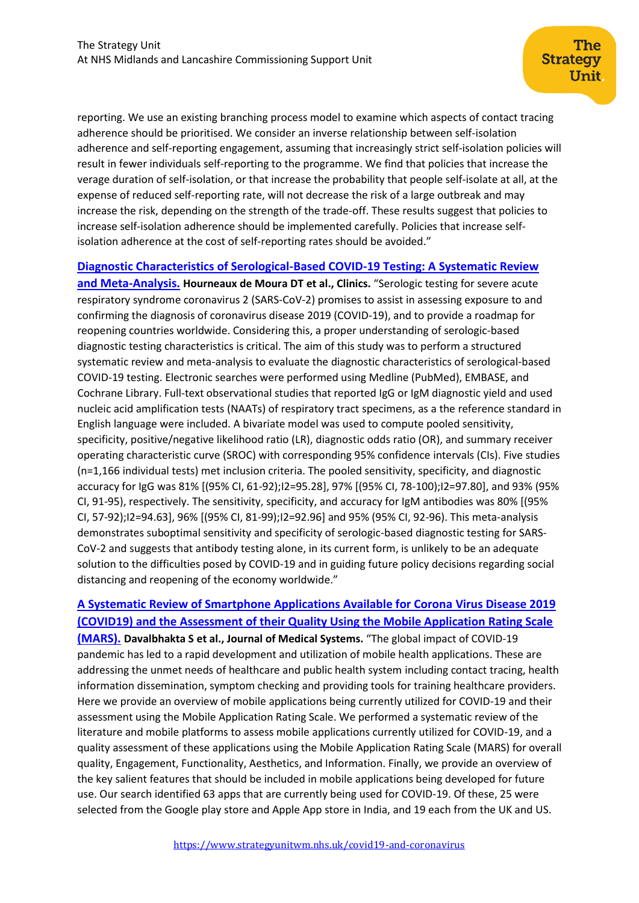reporting. We use an existing branching process model to examine which aspects of contact tracing adherence should be prioritised. We consider an inverse relationship between self-isolation adherence and self-reporting engagement, assuming that increasingly strict self-isolation policies will result in fewer individuals self-reporting to the programme. We find that policies that increase the verage duration of self-isolation, or that increase the probability that people self-isolate at all, at the expense of reduced self-reporting rate, will not decrease the risk of a large outbreak and may increase the risk, depending on the strength of the trade-off. These results suggest that policies to increase self-isolation adherence should be implemented carefully. Policies that increase selfisolation adherence at the cost of self-reporting rates should be avoided."

**[Diagnostic Characteristics of Serological-Based COVID-19 Testing: A Systematic Review](https://www.scielo.br/scielo.php?pid=S1807-59322020000100421&script=sci_arttext)** 

**[and Meta-Analysis.](https://www.scielo.br/scielo.php?pid=S1807-59322020000100421&script=sci_arttext) Hourneaux de Moura DT et al., Clinics.** "Serologic testing for severe acute respiratory syndrome coronavirus 2 (SARS-CoV-2) promises to assist in assessing exposure to and confirming the diagnosis of coronavirus disease 2019 (COVID-19), and to provide a roadmap for reopening countries worldwide. Considering this, a proper understanding of serologic-based diagnostic testing characteristics is critical. The aim of this study was to perform a structured systematic review and meta-analysis to evaluate the diagnostic characteristics of serological-based COVID-19 testing. Electronic searches were performed using Medline (PubMed), EMBASE, and Cochrane Library. Full-text observational studies that reported IgG or IgM diagnostic yield and used nucleic acid amplification tests (NAATs) of respiratory tract specimens, as a the reference standard in English language were included. A bivariate model was used to compute pooled sensitivity, specificity, positive/negative likelihood ratio (LR), diagnostic odds ratio (OR), and summary receiver operating characteristic curve (SROC) with corresponding 95% confidence intervals (CIs). Five studies (n=1,166 individual tests) met inclusion criteria. The pooled sensitivity, specificity, and diagnostic accuracy for IgG was 81% [(95% CI, 61-92);I2=95.28], 97% [(95% CI, 78-100);I2=97.80], and 93% (95% CI, 91-95), respectively. The sensitivity, specificity, and accuracy for IgM antibodies was 80% [(95% CI, 57-92);I2=94.63], 96% [(95% CI, 81-99);I2=92.96] and 95% (95% CI, 92-96). This meta-analysis demonstrates suboptimal sensitivity and specificity of serologic-based diagnostic testing for SARS-CoV-2 and suggests that antibody testing alone, in its current form, is unlikely to be an adequate solution to the difficulties posed by COVID-19 and in guiding future policy decisions regarding social distancing and reopening of the economy worldwide."

## **[A Systematic Review of Smartphone Applications Available for Corona](https://link.springer.com/article/10.1007/s10916-020-01633-3) Virus Disease 2019 [\(COVID19\) and the Assessment of their Quality Using the Mobile Application Rating Scale](https://link.springer.com/article/10.1007/s10916-020-01633-3)**

**[\(MARS\).](https://link.springer.com/article/10.1007/s10916-020-01633-3) Davalbhakta S et al., Journal of Medical Systems.** "The global impact of COVID-19 pandemic has led to a rapid development and utilization of mobile health applications. These are addressing the unmet needs of healthcare and public health system including contact tracing, health information dissemination, symptom checking and providing tools for training healthcare providers. Here we provide an overview of mobile applications being currently utilized for COVID-19 and their assessment using the Mobile Application Rating Scale. We performed a systematic review of the literature and mobile platforms to assess mobile applications currently utilized for COVID-19, and a quality assessment of these applications using the Mobile Application Rating Scale (MARS) for overall quality, Engagement, Functionality, Aesthetics, and Information. Finally, we provide an overview of the key salient features that should be included in mobile applications being developed for future use. Our search identified 63 apps that are currently being used for COVID-19. Of these, 25 were selected from the Google play store and Apple App store in India, and 19 each from the UK and US.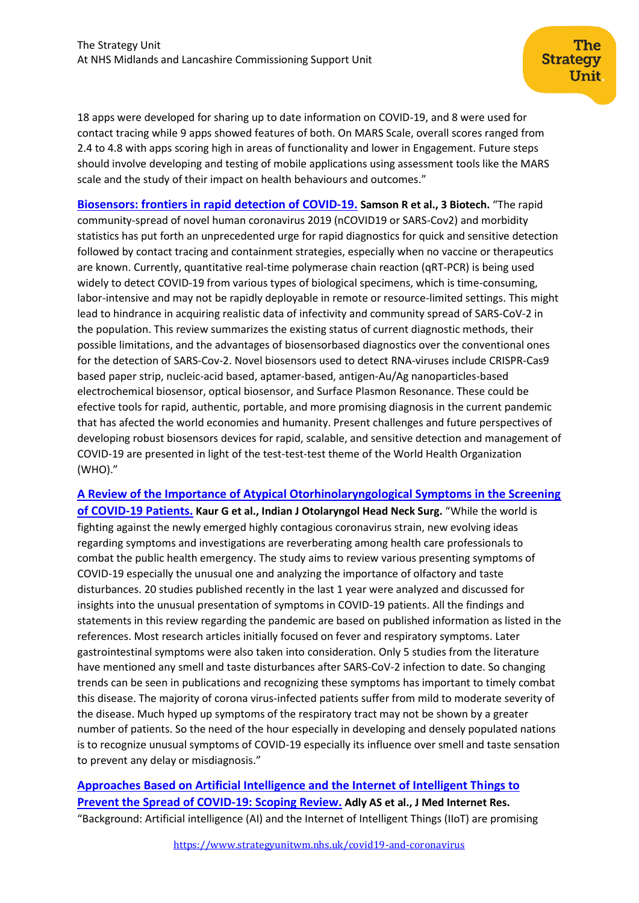18 apps were developed for sharing up to date information on COVID-19, and 8 were used for contact tracing while 9 apps showed features of both. On MARS Scale, overall scores ranged from 2.4 to 4.8 with apps scoring high in areas of functionality and lower in Engagement. Future steps should involve developing and testing of mobile applications using assessment tools like the MARS scale and the study of their impact on health behaviours and outcomes."

The

Unit.

**Strategy** 

**[Biosensors: frontiers in](https://link.springer.com/article/10.1007/s13205-020-02369-0) rapid detection of COVID-19. Samson R et al., 3 Biotech.** "The rapid community-spread of novel human coronavirus 2019 (nCOVID19 or SARS-Cov2) and morbidity statistics has put forth an unprecedented urge for rapid diagnostics for quick and sensitive detection followed by contact tracing and containment strategies, especially when no vaccine or therapeutics are known. Currently, quantitative real-time polymerase chain reaction (qRT-PCR) is being used widely to detect COVID-19 from various types of biological specimens, which is time-consuming, labor-intensive and may not be rapidly deployable in remote or resource-limited settings. This might lead to hindrance in acquiring realistic data of infectivity and community spread of SARS-CoV-2 in the population. This review summarizes the existing status of current diagnostic methods, their possible limitations, and the advantages of biosensorbased diagnostics over the conventional ones for the detection of SARS-Cov-2. Novel biosensors used to detect RNA-viruses include CRISPR-Cas9 based paper strip, nucleic-acid based, aptamer-based, antigen-Au/Ag nanoparticles-based electrochemical biosensor, optical biosensor, and Surface Plasmon Resonance. These could be efective tools for rapid, authentic, portable, and more promising diagnosis in the current pandemic that has afected the world economies and humanity. Present challenges and future perspectives of developing robust biosensors devices for rapid, scalable, and sensitive detection and management of COVID-19 are presented in light of the test-test-test theme of the World Health Organization (WHO)."

**[A Review of the Importance of Atypical Otorhinolaryngological Symptoms in the Screening](https://link.springer.com/content/pdf/10.1007/s12070-020-02045-y.pdf)  [of COVID-19 Patients.](https://link.springer.com/content/pdf/10.1007/s12070-020-02045-y.pdf) Kaur G et al., Indian J Otolaryngol Head Neck Surg.** "While the world is fighting against the newly emerged highly contagious coronavirus strain, new evolving ideas regarding symptoms and investigations are reverberating among health care professionals to combat the public health emergency. The study aims to review various presenting symptoms of COVID-19 especially the unusual one and analyzing the importance of olfactory and taste disturbances. 20 studies published recently in the last 1 year were analyzed and discussed for insights into the unusual presentation of symptoms in COVID-19 patients. All the findings and statements in this review regarding the pandemic are based on published information as listed in the references. Most research articles initially focused on fever and respiratory symptoms. Later gastrointestinal symptoms were also taken into consideration. Only 5 studies from the literature have mentioned any smell and taste disturbances after SARS-CoV-2 infection to date. So changing trends can be seen in publications and recognizing these symptoms has important to timely combat this disease. The majority of corona virus-infected patients suffer from mild to moderate severity of the disease. Much hyped up symptoms of the respiratory tract may not be shown by a greater number of patients. So the need of the hour especially in developing and densely populated nations is to recognize unusual symptoms of COVID-19 especially its influence over smell and taste sensation to prevent any delay or misdiagnosis."

**[Approaches Based on Artificial Intelligence and the Internet of Intelligent Things to](https://www.jmir.org/2020/8/e19104/)  [Prevent t](https://www.jmir.org/2020/8/e19104/)he Spread of COVID-19: Scoping Review. Adly AS et al., J Med Internet Res.** "Background: Artificial intelligence (AI) and the Internet of Intelligent Things (IIoT) are promising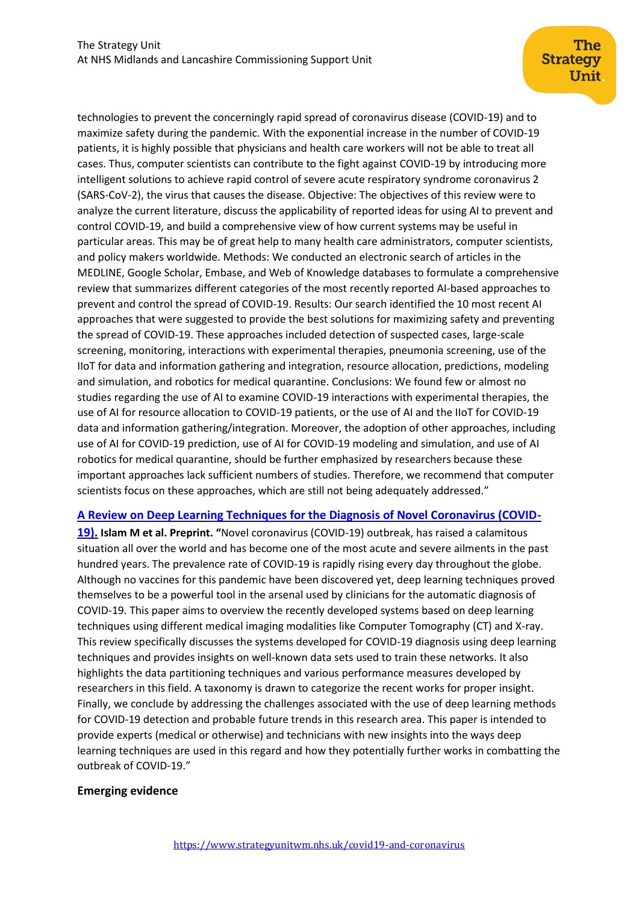technologies to prevent the concerningly rapid spread of coronavirus disease (COVID-19) and to maximize safety during the pandemic. With the exponential increase in the number of COVID-19 patients, it is highly possible that physicians and health care workers will not be able to treat all cases. Thus, computer scientists can contribute to the fight against COVID-19 by introducing more intelligent solutions to achieve rapid control of severe acute respiratory syndrome coronavirus 2 (SARS-CoV-2), the virus that causes the disease. Objective: The objectives of this review were to analyze the current literature, discuss the applicability of reported ideas for using AI to prevent and control COVID-19, and build a comprehensive view of how current systems may be useful in particular areas. This may be of great help to many health care administrators, computer scientists, and policy makers worldwide. Methods: We conducted an electronic search of articles in the MEDLINE, Google Scholar, Embase, and Web of Knowledge databases to formulate a comprehensive review that summarizes different categories of the most recently reported AI-based approaches to prevent and control the spread of COVID-19. Results: Our search identified the 10 most recent AI approaches that were suggested to provide the best solutions for maximizing safety and preventing the spread of COVID-19. These approaches included detection of suspected cases, large-scale screening, monitoring, interactions with experimental therapies, pneumonia screening, use of the IIoT for data and information gathering and integration, resource allocation, predictions, modeling and simulation, and robotics for medical quarantine. Conclusions: We found few or almost no studies regarding the use of AI to examine COVID-19 interactions with experimental therapies, the use of AI for resource allocation to COVID-19 patients, or the use of AI and the IIoT for COVID-19 data and information gathering/integration. Moreover, the adoption of other approaches, including use of AI for COVID-19 prediction, use of AI for COVID-19 modeling and simulation, and use of AI robotics for medical quarantine, should be further emphasized by researchers because these important approaches lack sufficient numbers of studies. Therefore, we recommend that computer scientists focus on these approaches, which are still not being adequately addressed."

#### **[A Review on Deep Learning Techniques for the Diagnosis of Novel Coronavirus \(COVID-](https://arxiv.org/ftp/arxiv/papers/2008/2008.04815.pdf)**

**[19\).](https://arxiv.org/ftp/arxiv/papers/2008/2008.04815.pdf) Islam M et al. Preprint. "**Novel coronavirus (COVID-19) outbreak, has raised a calamitous situation all over the world and has become one of the most acute and severe ailments in the past hundred years. The prevalence rate of COVID-19 is rapidly rising every day throughout the globe. Although no vaccines for this pandemic have been discovered yet, deep learning techniques proved themselves to be a powerful tool in the arsenal used by clinicians for the automatic diagnosis of COVID-19. This paper aims to overview the recently developed systems based on deep learning techniques using different medical imaging modalities like Computer Tomography (CT) and X-ray. This review specifically discusses the systems developed for COVID-19 diagnosis using deep learning techniques and provides insights on well-known data sets used to train these networks. It also highlights the data partitioning techniques and various performance measures developed by researchers in this field. A taxonomy is drawn to categorize the recent works for proper insight. Finally, we conclude by addressing the challenges associated with the use of deep learning methods for COVID-19 detection and probable future trends in this research area. This paper is intended to provide experts (medical or otherwise) and technicians with new insights into the ways deep learning techniques are used in this regard and how they potentially further works in combatting the outbreak of COVID-19."

## **Emerging evidence**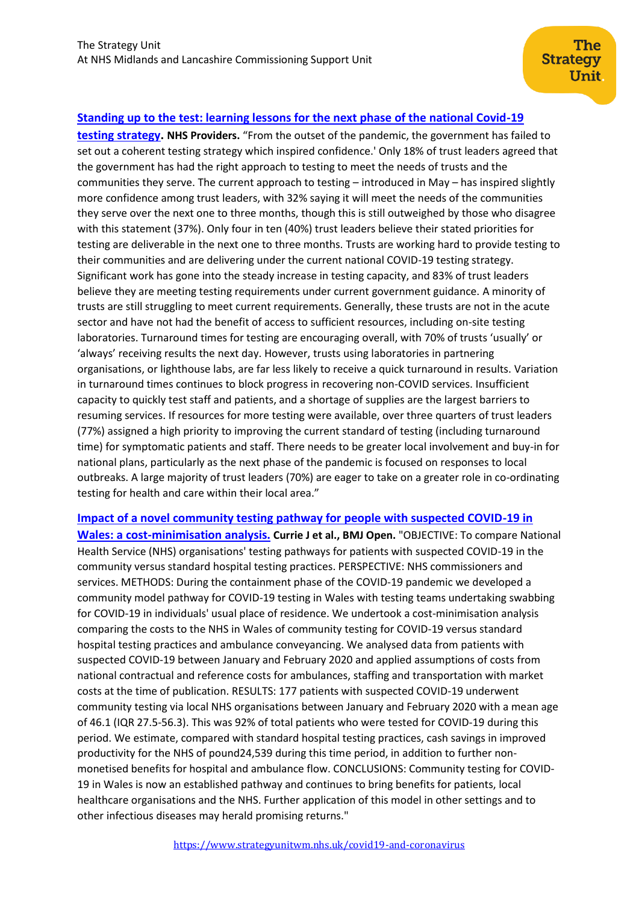## **[Standing up to the test: learning lessons for the next phase of the national Covid-19](https://nhsproviders.org/standing-up-to-the-test/key-points)**

**[testing strategy.](https://nhsproviders.org/standing-up-to-the-test/key-points) NHS Providers.** "From the outset of the pandemic, the government has failed to set out a coherent testing strategy which inspired confidence.' Only 18% of trust leaders agreed that the government has had the right approach to testing to meet the needs of trusts and the communities they serve. The current approach to testing – introduced in May – has inspired slightly more confidence among trust leaders, with 32% saying it will meet the needs of the communities they serve over the next one to three months, though this is still outweighed by those who disagree with this statement (37%). Only four in ten (40%) trust leaders believe their stated priorities for testing are deliverable in the next one to three months. Trusts are working hard to provide testing to their communities and are delivering under the current national COVID-19 testing strategy. Significant work has gone into the steady increase in testing capacity, and 83% of trust leaders believe they are meeting testing requirements under current government guidance. A minority of trusts are still struggling to meet current requirements. Generally, these trusts are not in the acute sector and have not had the benefit of access to sufficient resources, including on-site testing laboratories. Turnaround times for testing are encouraging overall, with 70% of trusts 'usually' or 'always' receiving results the next day. However, trusts using laboratories in partnering organisations, or lighthouse labs, are far less likely to receive a quick turnaround in results. Variation in turnaround times continues to block progress in recovering non-COVID services. Insufficient capacity to quickly test staff and patients, and a shortage of supplies are the largest barriers to resuming services. If resources for more testing were available, over three quarters of trust leaders (77%) assigned a high priority to improving the current standard of testing (including turnaround time) for symptomatic patients and staff. There needs to be greater local involvement and buy-in for national plans, particularly as the next phase of the pandemic is focused on responses to local outbreaks. A large majority of trust leaders (70%) are eager to take on a greater role in co-ordinating testing for health and care within their local area."

## **[Impact of a novel community testing pathway for people with suspected COVID-19 in](https://bmjopen.bmj.com/content/bmjopen/10/8/e038017.full.pdf)**

**[Wales: a cost-minimisation analysis.](https://bmjopen.bmj.com/content/bmjopen/10/8/e038017.full.pdf) Currie J et al., BMJ Open.** "OBJECTIVE: To compare National Health Service (NHS) organisations' testing pathways for patients with suspected COVID-19 in the community versus standard hospital testing practices. PERSPECTIVE: NHS commissioners and services. METHODS: During the containment phase of the COVID-19 pandemic we developed a community model pathway for COVID-19 testing in Wales with testing teams undertaking swabbing for COVID-19 in individuals' usual place of residence. We undertook a cost-minimisation analysis comparing the costs to the NHS in Wales of community testing for COVID-19 versus standard hospital testing practices and ambulance conveyancing. We analysed data from patients with suspected COVID-19 between January and February 2020 and applied assumptions of costs from national contractual and reference costs for ambulances, staffing and transportation with market costs at the time of publication. RESULTS: 177 patients with suspected COVID-19 underwent community testing via local NHS organisations between January and February 2020 with a mean age of 46.1 (IQR 27.5-56.3). This was 92% of total patients who were tested for COVID-19 during this period. We estimate, compared with standard hospital testing practices, cash savings in improved productivity for the NHS of pound24,539 during this time period, in addition to further nonmonetised benefits for hospital and ambulance flow. CONCLUSIONS: Community testing for COVID-19 in Wales is now an established pathway and continues to bring benefits for patients, local healthcare organisations and the NHS. Further application of this model in other settings and to other infectious diseases may herald promising returns."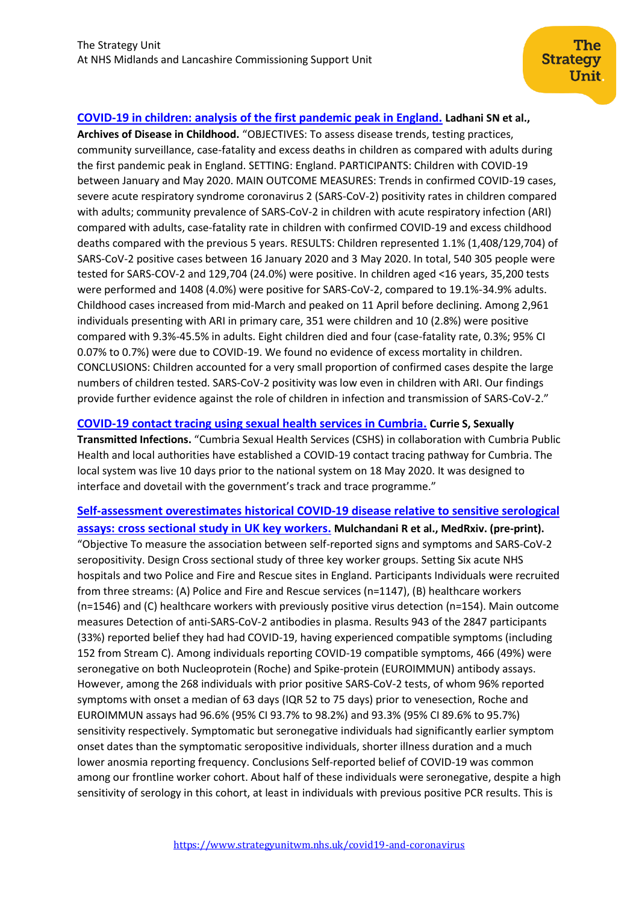## **[COVID-19 in children: analysis of the first pandemic peak in England.](https://adc.bmj.com/content/early/2020/07/28/archdischild-2020-320042) Ladhani SN et al.,**

**Archives of Disease in Childhood.** "OBJECTIVES: To assess disease trends, testing practices, community surveillance, case-fatality and excess deaths in children as compared with adults during the first pandemic peak in England. SETTING: England. PARTICIPANTS: Children with COVID-19 between January and May 2020. MAIN OUTCOME MEASURES: Trends in confirmed COVID-19 cases, severe acute respiratory syndrome coronavirus 2 (SARS-CoV-2) positivity rates in children compared with adults; community prevalence of SARS-CoV-2 in children with acute respiratory infection (ARI) compared with adults, case-fatality rate in children with confirmed COVID-19 and excess childhood deaths compared with the previous 5 years. RESULTS: Children represented 1.1% (1,408/129,704) of SARS-CoV-2 positive cases between 16 January 2020 and 3 May 2020. In total, 540 305 people were tested for SARS-COV-2 and 129,704 (24.0%) were positive. In children aged <16 years, 35,200 tests were performed and 1408 (4.0%) were positive for SARS-CoV-2, compared to 19.1%-34.9% adults. Childhood cases increased from mid-March and peaked on 11 April before declining. Among 2,961 individuals presenting with ARI in primary care, 351 were children and 10 (2.8%) were positive compared with 9.3%-45.5% in adults. Eight children died and four (case-fatality rate, 0.3%; 95% CI 0.07% to 0.7%) were due to COVID-19. We found no evidence of excess mortality in children. CONCLUSIONS: Children accounted for a very small proportion of confirmed cases despite the large numbers of children tested. SARS-CoV-2 positivity was low even in children with ARI. Our findings provide further evidence against the role of children in infection and transmission of SARS-CoV-2."

### **[COVID-19 contact tracing using sexual health services in Cumbria.](https://sti.bmj.com/content/96/6/395) Currie S, Sexually**

**Transmitted Infections.** "Cumbria Sexual Health Services (CSHS) in collaboration with Cumbria Public Health and local authorities have established a COVID-19 contact tracing pathway for Cumbria. The local system was live 10 days prior to the national system on 18 May 2020. It was designed to interface and dovetail with the government's track and trace programme."

**Self-assessment [overestimates historical COVID-19 disease relative to sensitive serological](https://www.medrxiv.org/content/10.1101/2020.08.19.20178186v1)  [assays: cross sectional study in UK key workers.](https://www.medrxiv.org/content/10.1101/2020.08.19.20178186v1) Mulchandani R et al., MedRxiv. (pre-print).** "Objective To measure the association between self-reported signs and symptoms and SARS-CoV-2 seropositivity. Design Cross sectional study of three key worker groups. Setting Six acute NHS hospitals and two Police and Fire and Rescue sites in England. Participants Individuals were recruited from three streams: (A) Police and Fire and Rescue services (n=1147), (B) healthcare workers (n=1546) and (C) healthcare workers with previously positive virus detection (n=154). Main outcome measures Detection of anti-SARS-CoV-2 antibodies in plasma. Results 943 of the 2847 participants (33%) reported belief they had had COVID-19, having experienced compatible symptoms (including 152 from Stream C). Among individuals reporting COVID-19 compatible symptoms, 466 (49%) were seronegative on both Nucleoprotein (Roche) and Spike-protein (EUROIMMUN) antibody assays. However, among the 268 individuals with prior positive SARS-CoV-2 tests, of whom 96% reported symptoms with onset a median of 63 days (IQR 52 to 75 days) prior to venesection, Roche and EUROIMMUN assays had 96.6% (95% CI 93.7% to 98.2%) and 93.3% (95% CI 89.6% to 95.7%) sensitivity respectively. Symptomatic but seronegative individuals had significantly earlier symptom onset dates than the symptomatic seropositive individuals, shorter illness duration and a much lower anosmia reporting frequency. Conclusions Self-reported belief of COVID-19 was common among our frontline worker cohort. About half of these individuals were seronegative, despite a high sensitivity of serology in this cohort, at least in individuals with previous positive PCR results. This is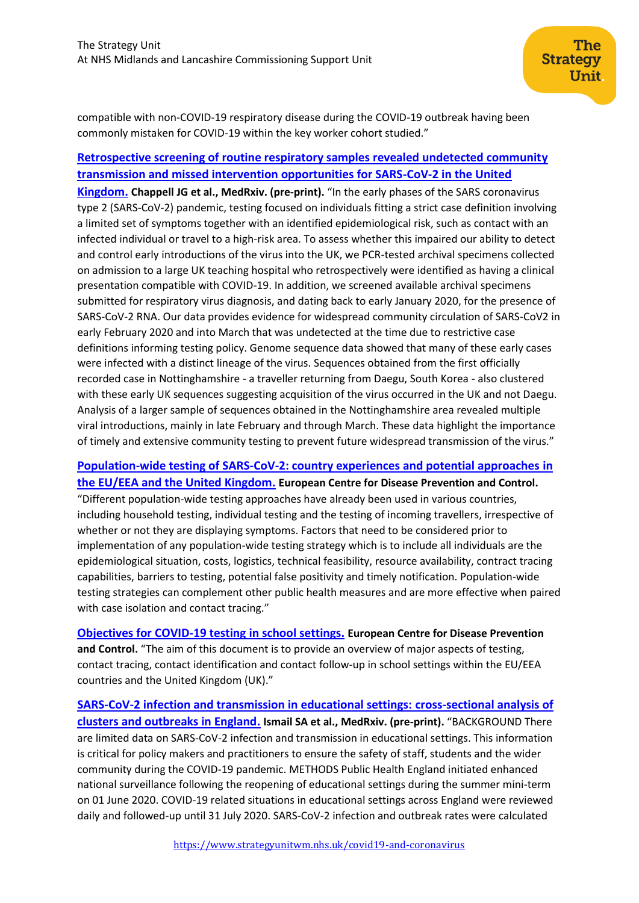compatible with non-COVID-19 respiratory disease during the COVID-19 outbreak having been commonly mistaken for COVID-19 within the key worker cohort studied."

## **[Retrospective screening of routine respiratory samples revealed undetected community](https://www.medrxiv.org/content/10.1101/2020.08.18.20174623v1)  [transmission and missed intervention opportunities for SARS-CoV-2 in the United](https://www.medrxiv.org/content/10.1101/2020.08.18.20174623v1)**

**[Kingdom.](https://www.medrxiv.org/content/10.1101/2020.08.18.20174623v1) Chappell JG et al., MedRxiv. (pre-print).** "In the early phases of the SARS coronavirus type 2 (SARS-CoV-2) pandemic, testing focused on individuals fitting a strict case definition involving a limited set of symptoms together with an identified epidemiological risk, such as contact with an infected individual or travel to a high-risk area. To assess whether this impaired our ability to detect and control early introductions of the virus into the UK, we PCR-tested archival specimens collected on admission to a large UK teaching hospital who retrospectively were identified as having a clinical presentation compatible with COVID-19. In addition, we screened available archival specimens submitted for respiratory virus diagnosis, and dating back to early January 2020, for the presence of SARS-CoV-2 RNA. Our data provides evidence for widespread community circulation of SARS-CoV2 in early February 2020 and into March that was undetected at the time due to restrictive case definitions informing testing policy. Genome sequence data showed that many of these early cases were infected with a distinct lineage of the virus. Sequences obtained from the first officially recorded case in Nottinghamshire - a traveller returning from Daegu, South Korea - also clustered with these early UK sequences suggesting acquisition of the virus occurred in the UK and not Daegu. Analysis of a larger sample of sequences obtained in the Nottinghamshire area revealed multiple viral introductions, mainly in late February and through March. These data highlight the importance of timely and extensive community testing to prevent future widespread transmission of the virus."

## **[Population-wide testing of SARS-CoV-2: country experiences and potential approaches](https://www.ecdc.europa.eu/en/publications-data/population-wide-testing-sars-cov-2-country-experiences-and-potential-approaches) in [the EU/EEA and the United Kingdom.](https://www.ecdc.europa.eu/en/publications-data/population-wide-testing-sars-cov-2-country-experiences-and-potential-approaches) European Centre for Disease Prevention and Control.**

"Different population-wide testing approaches have already been used in various countries, including household testing, individual testing and the testing of incoming travellers, irrespective of whether or not they are displaying symptoms. Factors that need to be considered prior to implementation of any population-wide testing strategy which is to include all individuals are the epidemiological situation, costs, logistics, technical feasibility, resource availability, contract tracing capabilities, barriers to testing, potential false positivity and timely notification. Population-wide testing strategies can complement other public health measures and are more effective when paired with case isolation and contact tracing."

**[Objectives for COVID-19 testing](https://www.ecdc.europa.eu/en/publications-data/objectives-covid-19-testing-school-settings) in school settings. European Centre for Disease Prevention and Control.** "The aim of this document is to provide an overview of major aspects of testing, contact tracing, contact identification and contact follow-up in school settings within the EU/EEA countries and the United Kingdom (UK)."

**[SARS-CoV-2 infection and transmission in educational settings:](https://www.medrxiv.org/content/10.1101/2020.08.21.20178574v1) cross-sectional analysis of [clusters and outbreaks in England.](https://www.medrxiv.org/content/10.1101/2020.08.21.20178574v1) Ismail SA et al., MedRxiv. (pre-print).** "BACKGROUND There are limited data on SARS-CoV-2 infection and transmission in educational settings. This information is critical for policy makers and practitioners to ensure the safety of staff, students and the wider community during the COVID-19 pandemic. METHODS Public Health England initiated enhanced national surveillance following the reopening of educational settings during the summer mini-term on 01 June 2020. COVID-19 related situations in educational settings across England were reviewed daily and followed-up until 31 July 2020. SARS-CoV-2 infection and outbreak rates were calculated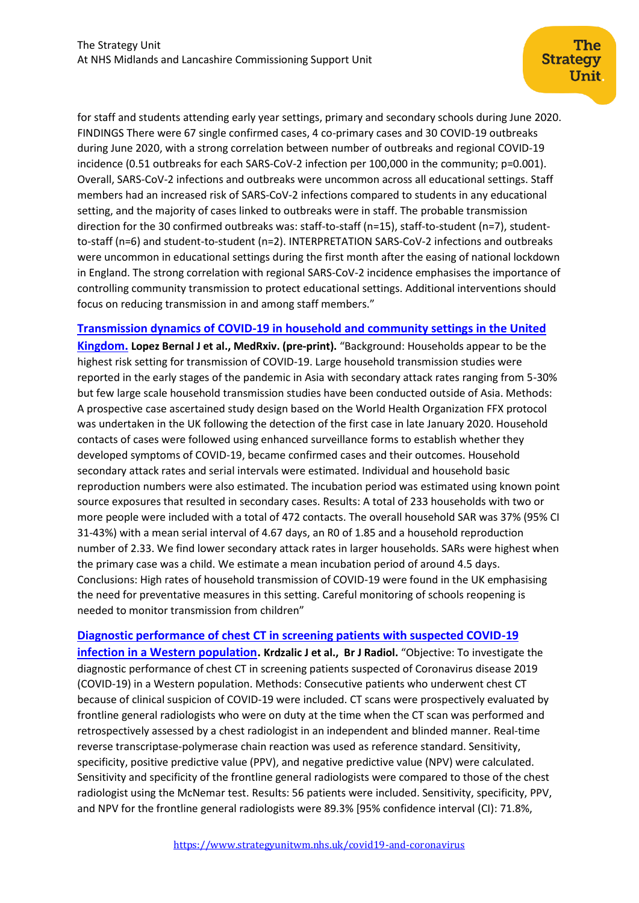for staff and students attending early year settings, primary and secondary schools during June 2020. FINDINGS There were 67 single confirmed cases, 4 co-primary cases and 30 COVID-19 outbreaks during June 2020, with a strong correlation between number of outbreaks and regional COVID-19 incidence (0.51 outbreaks for each SARS-CoV-2 infection per 100,000 in the community; p=0.001). Overall, SARS-CoV-2 infections and outbreaks were uncommon across all educational settings. Staff members had an increased risk of SARS-CoV-2 infections compared to students in any educational setting, and the majority of cases linked to outbreaks were in staff. The probable transmission direction for the 30 confirmed outbreaks was: staff-to-staff (n=15), staff-to-student (n=7), studentto-staff (n=6) and student-to-student (n=2). INTERPRETATION SARS-CoV-2 infections and outbreaks were uncommon in educational settings during the first month after the easing of national lockdown in England. The strong correlation with regional SARS-CoV-2 incidence emphasises the importance of controlling community transmission to protect educational settings. Additional interventions should focus on reducing transmission in and among staff members."

## **[Transmission dynamics of COVID-19 in household and community settings in the United](https://www.medrxiv.org/content/10.1101/2020.08.19.20177188v1)**

**[Kingdom.](https://www.medrxiv.org/content/10.1101/2020.08.19.20177188v1) Lopez Bernal J et al., MedRxiv. (pre-print).** "Background: Households appear to be the highest risk setting for transmission of COVID-19. Large household transmission studies were reported in the early stages of the pandemic in Asia with secondary attack rates ranging from 5-30% but few large scale household transmission studies have been conducted outside of Asia. Methods: A prospective case ascertained study design based on the World Health Organization FFX protocol was undertaken in the UK following the detection of the first case in late January 2020. Household contacts of cases were followed using enhanced surveillance forms to establish whether they developed symptoms of COVID-19, became confirmed cases and their outcomes. Household secondary attack rates and serial intervals were estimated. Individual and household basic reproduction numbers were also estimated. The incubation period was estimated using known point source exposures that resulted in secondary cases. Results: A total of 233 households with two or more people were included with a total of 472 contacts. The overall household SAR was 37% (95% CI 31-43%) with a mean serial interval of 4.67 days, an R0 of 1.85 and a household reproduction number of 2.33. We find lower secondary attack rates in larger households. SARs were highest when the primary case was a child. We estimate a mean incubation period of around 4.5 days. Conclusions: High rates of household transmission of COVID-19 were found in the UK emphasising the need for preventative measures in this setting. Careful monitoring of schools reopening is needed to monitor transmission from children"

#### **[Diagnostic performance of chest CT in screening patients with suspected COVID-19](https://www.birpublications.org/doi/pdf/10.1259/bjr.20200643)**

**[infection in a Western population.](https://www.birpublications.org/doi/pdf/10.1259/bjr.20200643) Krdzalic J et al., Br J Radiol.** "Objective: To investigate the diagnostic performance of chest CT in screening patients suspected of Coronavirus disease 2019 (COVID-19) in a Western population. Methods: Consecutive patients who underwent chest CT because of clinical suspicion of COVID-19 were included. CT scans were prospectively evaluated by frontline general radiologists who were on duty at the time when the CT scan was performed and retrospectively assessed by a chest radiologist in an independent and blinded manner. Real-time reverse transcriptase-polymerase chain reaction was used as reference standard. Sensitivity, specificity, positive predictive value (PPV), and negative predictive value (NPV) were calculated. Sensitivity and specificity of the frontline general radiologists were compared to those of the chest radiologist using the McNemar test. Results: 56 patients were included. Sensitivity, specificity, PPV, and NPV for the frontline general radiologists were 89.3% [95% confidence interval (CI): 71.8%,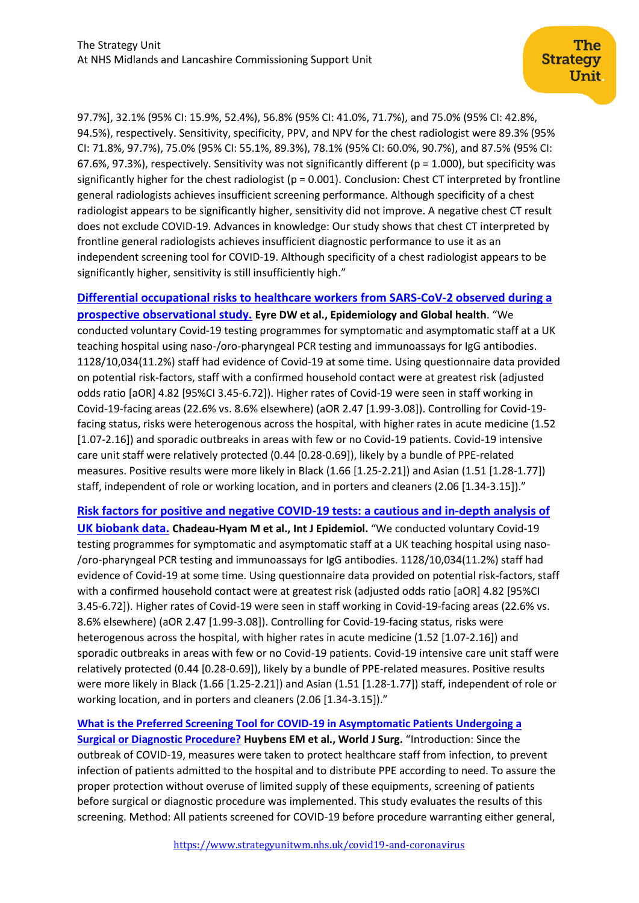97.7%], 32.1% (95% CI: 15.9%, 52.4%), 56.8% (95% CI: 41.0%, 71.7%), and 75.0% (95% CI: 42.8%, 94.5%), respectively. Sensitivity, specificity, PPV, and NPV for the chest radiologist were 89.3% (95% CI: 71.8%, 97.7%), 75.0% (95% CI: 55.1%, 89.3%), 78.1% (95% CI: 60.0%, 90.7%), and 87.5% (95% CI: 67.6%, 97.3%), respectively. Sensitivity was not significantly different ( $p = 1.000$ ), but specificity was significantly higher for the chest radiologist ( $p = 0.001$ ). Conclusion: Chest CT interpreted by frontline general radiologists achieves insufficient screening performance. Although specificity of a chest radiologist appears to be significantly higher, sensitivity did not improve. A negative chest CT result does not exclude COVID-19. Advances in knowledge: Our study shows that chest CT interpreted by frontline general radiologists achieves insufficient diagnostic performance to use it as an independent screening tool for COVID-19. Although specificity of a chest radiologist appears to be significantly higher, sensitivity is still insufficiently high."

**[Differential occupational risks to healthcare workers from SARS-CoV-2 observed during a](https://elifesciences.org/articles/60675)  [prospective observational study.](https://elifesciences.org/articles/60675) Eyre DW et al., Epidemiology and Global health**. "We conducted voluntary Covid-19 testing programmes for symptomatic and asymptomatic staff at a UK teaching hospital using naso-/oro-pharyngeal PCR testing and immunoassays for IgG antibodies. 1128/10,034(11.2%) staff had evidence of Covid-19 at some time. Using questionnaire data provided on potential risk-factors, staff with a confirmed household contact were at greatest risk (adjusted odds ratio [aOR] 4.82 [95%CI 3.45-6.72]). Higher rates of Covid-19 were seen in staff working in Covid-19-facing areas (22.6% vs. 8.6% elsewhere) (aOR 2.47 [1.99-3.08]). Controlling for Covid-19 facing status, risks were heterogenous across the hospital, with higher rates in acute medicine (1.52 [1.07-2.16]) and sporadic outbreaks in areas with few or no Covid-19 patients. Covid-19 intensive care unit staff were relatively protected (0.44 [0.28-0.69]), likely by a bundle of PPE-related measures. Positive results were more likely in Black (1.66 [1.25-2.21]) and Asian (1.51 [1.28-1.77]) staff, independent of role or working location, and in porters and cleaners (2.06 [1.34-3.15])."

**[Risk factors for positive and negative COVID-19 tests: a cautious and in-depth analysis of](https://academic.oup.com/ije/advance-article/doi/10.1093/ije/dyaa134/5894660) [UK biobank data.](https://academic.oup.com/ije/advance-article/doi/10.1093/ije/dyaa134/5894660) Chadeau-Hyam M et al., Int J Epidemiol.** "We conducted voluntary Covid-19 testing programmes for symptomatic and asymptomatic staff at a UK teaching hospital using naso- /oro-pharyngeal PCR testing and immunoassays for IgG antibodies. 1128/10,034(11.2%) staff had evidence of Covid-19 at some time. Using questionnaire data provided on potential risk-factors, staff with a confirmed household contact were at greatest risk (adjusted odds ratio [aOR] 4.82 [95%CI 3.45-6.72]). Higher rates of Covid-19 were seen in staff working in Covid-19-facing areas (22.6% vs. 8.6% elsewhere) (aOR 2.47 [1.99-3.08]). Controlling for Covid-19-facing status, risks were heterogenous across the hospital, with higher rates in acute medicine (1.52 [1.07-2.16]) and sporadic outbreaks in areas with few or no Covid-19 patients. Covid-19 intensive care unit staff were relatively protected (0.44 [0.28-0.69]), likely by a bundle of PPE-related measures. Positive results were more likely in Black (1.66 [1.25-2.21]) and Asian (1.51 [1.28-1.77]) staff, independent of role or working location, and in porters and cleaners (2.06 [1.34-3.15])."

**[What is the Preferred Screening Tool for COVID-19 in Asymptomatic Patients Undergoing a](https://link.springer.com/article/10.1007/s00268-020-05722-9)  [Surgical or Diagnostic Procedure?](https://link.springer.com/article/10.1007/s00268-020-05722-9) Huybens EM et al., World J Surg.** "Introduction: Since the outbreak of COVID-19, measures were taken to protect healthcare staff from infection, to prevent infection of patients admitted to the hospital and to distribute PPE according to need. To assure the proper protection without overuse of limited supply of these equipments, screening of patients before surgical or diagnostic procedure was implemented. This study evaluates the results of this screening. Method: All patients screened for COVID-19 before procedure warranting either general,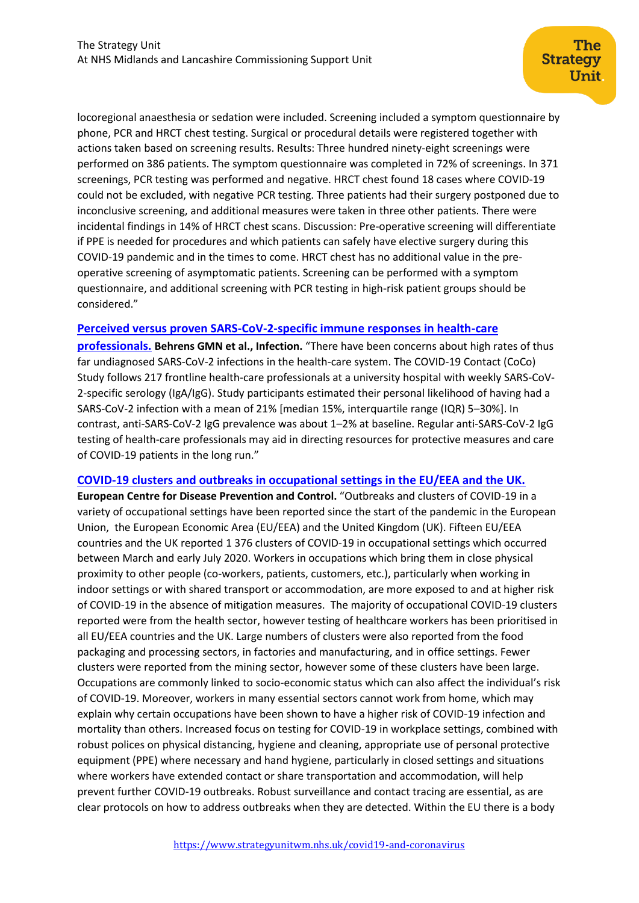locoregional anaesthesia or sedation were included. Screening included a symptom questionnaire by phone, PCR and HRCT chest testing. Surgical or procedural details were registered together with actions taken based on screening results. Results: Three hundred ninety-eight screenings were performed on 386 patients. The symptom questionnaire was completed in 72% of screenings. In 371 screenings, PCR testing was performed and negative. HRCT chest found 18 cases where COVID-19 could not be excluded, with negative PCR testing. Three patients had their surgery postponed due to inconclusive screening, and additional measures were taken in three other patients. There were incidental findings in 14% of HRCT chest scans. Discussion: Pre-operative screening will differentiate if PPE is needed for procedures and which patients can safely have elective surgery during this COVID-19 pandemic and in the times to come. HRCT chest has no additional value in the preoperative screening of asymptomatic patients. Screening can be performed with a symptom questionnaire, and additional screening with PCR testing in high-risk patient groups should be considered."

#### **[Perceived versus proven SARS-CoV-2-specific immune responses in health-care](https://www.ncbi.nlm.nih.gov/pmc/articles/PMC7286418/)**

**[professionals.](https://www.ncbi.nlm.nih.gov/pmc/articles/PMC7286418/) Behrens GMN et al., Infection.** "There have been concerns about high rates of thus far undiagnosed SARS-CoV-2 infections in the health-care system. The COVID-19 Contact (CoCo) Study follows 217 frontline health-care professionals at a university hospital with weekly SARS-CoV-2-specific serology (IgA/IgG). Study participants estimated their personal likelihood of having had a SARS-CoV-2 infection with a mean of 21% [median 15%, interquartile range (IQR) 5–30%]. In contrast, anti-SARS-CoV-2 IgG prevalence was about 1–2% at baseline. Regular anti-SARS-CoV-2 IgG testing of health-care professionals may aid in directing resources for protective measures and care of COVID-19 patients in the long run."

### **[COVID-19 clusters and outbreaks in occupational settings in the EU/EEA and the UK.](https://www.ecdc.europa.eu/en/publications-data/covid-19-clusters-and-outbreaks-occupational-settings-eueea-and-uk)**

**European Centre for Disease Prevention and Control.** "Outbreaks and clusters of COVID-19 in a variety of occupational settings have been reported since the start of the pandemic in the European Union, the European Economic Area (EU/EEA) and the United Kingdom (UK). Fifteen EU/EEA countries and the UK reported 1 376 clusters of COVID-19 in occupational settings which occurred between March and early July 2020. Workers in occupations which bring them in close physical proximity to other people (co-workers, patients, customers, etc.), particularly when working in indoor settings or with shared transport or accommodation, are more exposed to and at higher risk of COVID-19 in the absence of mitigation measures. The majority of occupational COVID-19 clusters reported were from the health sector, however testing of healthcare workers has been prioritised in all EU/EEA countries and the UK. Large numbers of clusters were also reported from the food packaging and processing sectors, in factories and manufacturing, and in office settings. Fewer clusters were reported from the mining sector, however some of these clusters have been large. Occupations are commonly linked to socio-economic status which can also affect the individual's risk of COVID-19. Moreover, workers in many essential sectors cannot work from home, which may explain why certain occupations have been shown to have a higher risk of COVID-19 infection and mortality than others. Increased focus on testing for COVID-19 in workplace settings, combined with robust polices on physical distancing, hygiene and cleaning, appropriate use of personal protective equipment (PPE) where necessary and hand hygiene, particularly in closed settings and situations where workers have extended contact or share transportation and accommodation, will help prevent further COVID-19 outbreaks. Robust surveillance and contact tracing are essential, as are clear protocols on how to address outbreaks when they are detected. Within the EU there is a body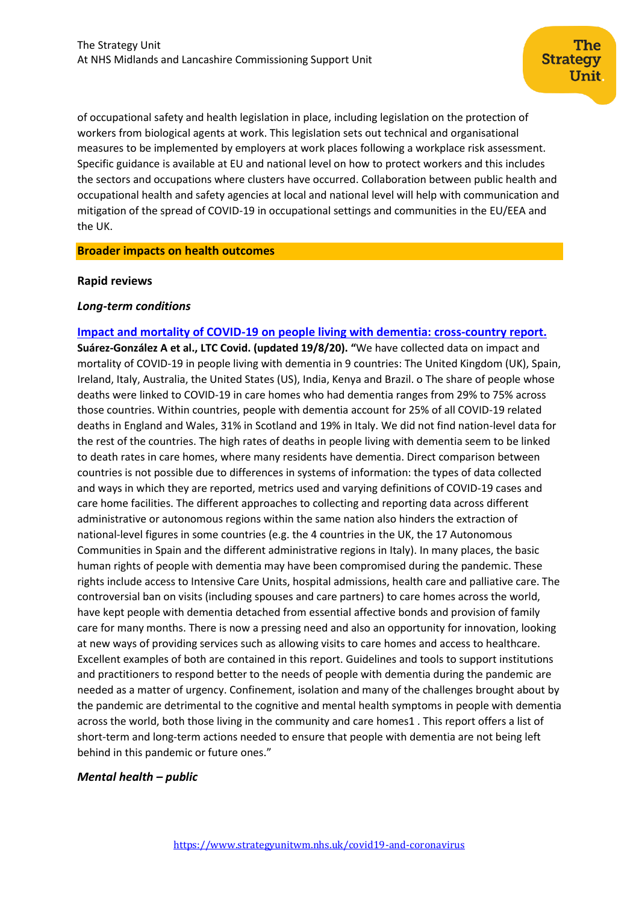of occupational safety and health legislation in place, including legislation on the protection of workers from biological agents at work. This legislation sets out technical and organisational measures to be implemented by employers at work places following a workplace risk assessment. Specific guidance is available at EU and national level on how to protect workers and this includes the sectors and occupations where clusters have occurred. Collaboration between public health and occupational health and safety agencies at local and national level will help with communication and mitigation of the spread of COVID-19 in occupational settings and communities in the EU/EEA and the UK.

#### **Broader impacts on health outcomes**

#### **Rapid reviews**

#### *Long-term conditions*

## **[Impact and mortality of COVID-19 on people](https://ltccovid.org/wp-content/uploads/2020/08/International-report-on-the-impact-of-COVID-19-on-people-living-with-dementia-19-August-2020.pdf) living with dementia: cross-country report. Suárez-González A et al., LTC Covid. (updated 19/8/20). "**We have collected data on impact and mortality of COVID-19 in people living with dementia in 9 countries: The United Kingdom (UK), Spain, Ireland, Italy, Australia, the United States (US), India, Kenya and Brazil. o The share of people whose deaths were linked to COVID-19 in care homes who had dementia ranges from 29% to 75% across those countries. Within countries, people with dementia account for 25% of all COVID-19 related deaths in England and Wales, 31% in Scotland and 19% in Italy. We did not find nation-level data for the rest of the countries. The high rates of deaths in people living with dementia seem to be linked to death rates in care homes, where many residents have dementia. Direct comparison between countries is not possible due to differences in systems of information: the types of data collected and ways in which they are reported, metrics used and varying definitions of COVID-19 cases and care home facilities. The different approaches to collecting and reporting data across different administrative or autonomous regions within the same nation also hinders the extraction of national-level figures in some countries (e.g. the 4 countries in the UK, the 17 Autonomous Communities in Spain and the different administrative regions in Italy). In many places, the basic human rights of people with dementia may have been compromised during the pandemic. These rights include access to Intensive Care Units, hospital admissions, health care and palliative care. The controversial ban on visits (including spouses and care partners) to care homes across the world, have kept people with dementia detached from essential affective bonds and provision of family care for many months. There is now a pressing need and also an opportunity for innovation, looking at new ways of providing services such as allowing visits to care homes and access to healthcare. Excellent examples of both are contained in this report. Guidelines and tools to support institutions and practitioners to respond better to the needs of people with dementia during the pandemic are needed as a matter of urgency. Confinement, isolation and many of the challenges brought about by the pandemic are detrimental to the cognitive and mental health symptoms in people with dementia across the world, both those living in the community and care homes1 . This report offers a list of short-term and long-term actions needed to ensure that people with dementia are not being left behind in this pandemic or future ones."

#### *Mental health – public*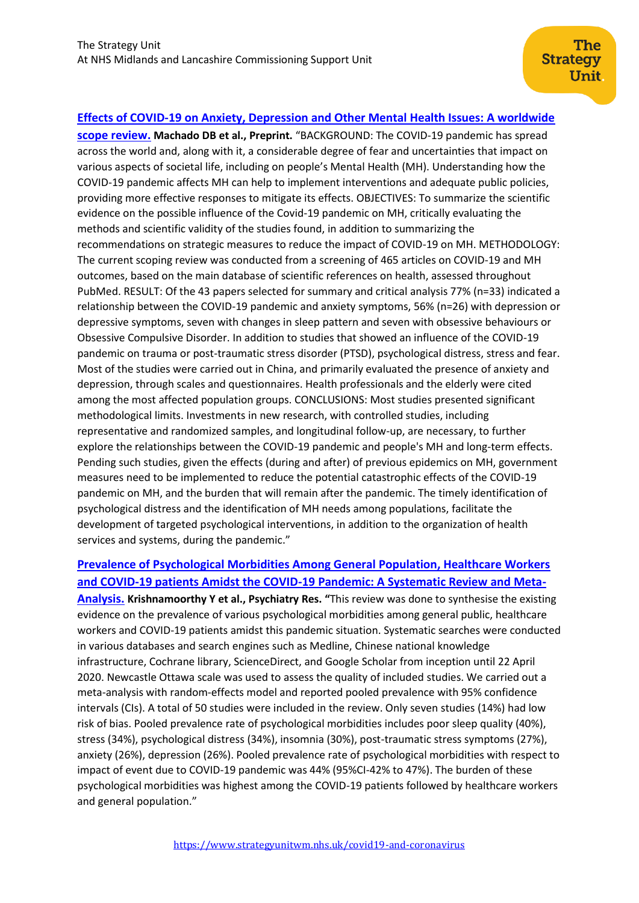## **[Effects of COVID-19 on Anxiety, Depression and Other Mental Health Issues: A worldwide](https://www.researchsquare.com/article/rs-58186/v1)**

**[scope review.](https://www.researchsquare.com/article/rs-58186/v1) Machado DB et al., Preprint.** "BACKGROUND: The COVID-19 pandemic has spread across the world and, along with it, a considerable degree of fear and uncertainties that impact on various aspects of societal life, including on people's Mental Health (MH). Understanding how the COVID-19 pandemic affects MH can help to implement interventions and adequate public policies, providing more effective responses to mitigate its effects. OBJECTIVES: To summarize the scientific evidence on the possible influence of the Covid-19 pandemic on MH, critically evaluating the methods and scientific validity of the studies found, in addition to summarizing the recommendations on strategic measures to reduce the impact of COVID-19 on MH. METHODOLOGY: The current scoping review was conducted from a screening of 465 articles on COVID-19 and MH outcomes, based on the main database of scientific references on health, assessed throughout PubMed. RESULT: Of the 43 papers selected for summary and critical analysis 77% (n=33) indicated a relationship between the COVID-19 pandemic and anxiety symptoms, 56% (n=26) with depression or depressive symptoms, seven with changes in sleep pattern and seven with obsessive behaviours or Obsessive Compulsive Disorder. In addition to studies that showed an influence of the COVID-19 pandemic on trauma or post-traumatic stress disorder (PTSD), psychological distress, stress and fear. Most of the studies were carried out in China, and primarily evaluated the presence of anxiety and depression, through scales and questionnaires. Health professionals and the elderly were cited among the most affected population groups. CONCLUSIONS: Most studies presented significant methodological limits. Investments in new research, with controlled studies, including representative and randomized samples, and longitudinal follow-up, are necessary, to further explore the relationships between the COVID-19 pandemic and people's MH and long-term effects. Pending such studies, given the effects (during and after) of previous epidemics on MH, government measures need to be implemented to reduce the potential catastrophic effects of the COVID-19 pandemic on MH, and the burden that will remain after the pandemic. The timely identification of psychological distress and the identification of MH needs among populations, facilitate the development of targeted psychological interventions, in addition to the organization of health services and systems, during the pandemic."

## **[Prevalence of Psychological Morbidities Among General Population, Healthcare Workers](https://www.ncbi.nlm.nih.gov/pmc/articles/PMC7417292/)  [and COVID-19 patients Amidst the COVID-19 Pandemic: A Systematic Review and Meta-](https://www.ncbi.nlm.nih.gov/pmc/articles/PMC7417292/)**

**[Analysis.](https://www.ncbi.nlm.nih.gov/pmc/articles/PMC7417292/) Krishnamoorthy Y et al., Psychiatry Res. "**This review was done to synthesise the existing evidence on the prevalence of various psychological morbidities among general public, healthcare workers and COVID-19 patients amidst this pandemic situation. Systematic searches were conducted in various databases and search engines such as Medline, Chinese national knowledge infrastructure, Cochrane library, ScienceDirect, and Google Scholar from inception until 22 April 2020. Newcastle Ottawa scale was used to assess the quality of included studies. We carried out a meta-analysis with random-effects model and reported pooled prevalence with 95% confidence intervals (CIs). A total of 50 studies were included in the review. Only seven studies (14%) had low risk of bias. Pooled prevalence rate of psychological morbidities includes poor sleep quality (40%), stress (34%), psychological distress (34%), insomnia (30%), post-traumatic stress symptoms (27%), anxiety (26%), depression (26%). Pooled prevalence rate of psychological morbidities with respect to impact of event due to COVID-19 pandemic was 44% (95%CI-42% to 47%). The burden of these psychological morbidities was highest among the COVID-19 patients followed by healthcare workers and general population."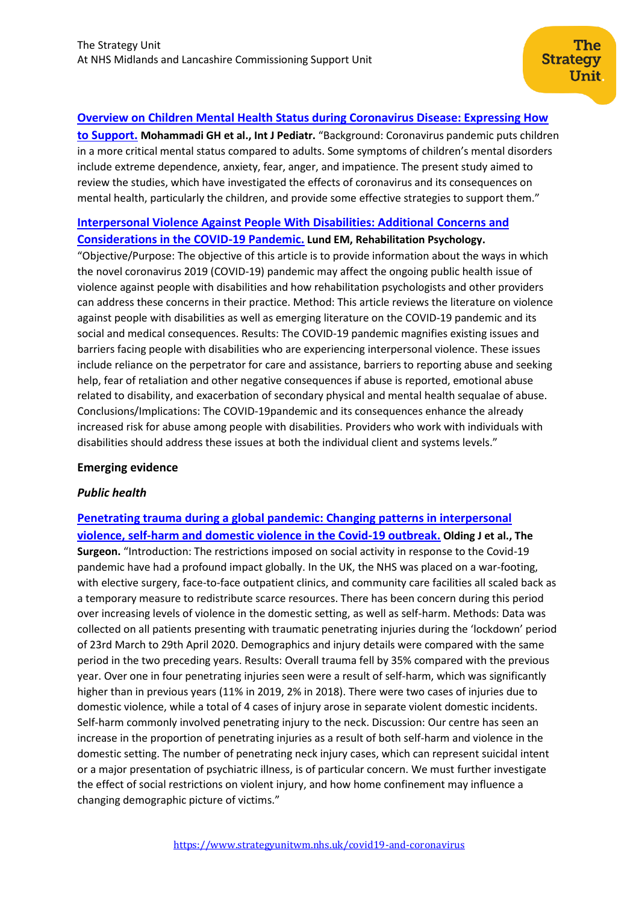## **[Overview on Children Mental Health Status during Coronavirus Disease: Expressing How](http://ijp.mums.ac.ir/article_16353_bc72e41439b4297f9b8ced0a0e56d1b0.pdf)**

**[to Support.](http://ijp.mums.ac.ir/article_16353_bc72e41439b4297f9b8ced0a0e56d1b0.pdf) Mohammadi GH et al., Int J Pediatr.** "Background: Coronavirus pandemic puts children in a more critical mental status compared to adults. Some symptoms of children's mental disorders include extreme dependence, anxiety, fear, anger, and impatience. The present study aimed to review the studies, which have investigated the effects of coronavirus and its consequences on mental health, particularly the children, and provide some effective strategies to support them."

## **[Interpersonal Violence Against People With Disabilities: Additional](https://psycnet.apa.org/fulltext/2020-59952-001.html) Concerns and [Considerations in the COVID-19 Pandemic.](https://psycnet.apa.org/fulltext/2020-59952-001.html) Lund EM, Rehabilitation Psychology.**

"Objective/Purpose: The objective of this article is to provide information about the ways in which the novel coronavirus 2019 (COVID-19) pandemic may affect the ongoing public health issue of violence against people with disabilities and how rehabilitation psychologists and other providers can address these concerns in their practice. Method: This article reviews the literature on violence against people with disabilities as well as emerging literature on the COVID-19 pandemic and its social and medical consequences. Results: The COVID-19 pandemic magnifies existing issues and barriers facing people with disabilities who are experiencing interpersonal violence. These issues include reliance on the perpetrator for care and assistance, barriers to reporting abuse and seeking help, fear of retaliation and other negative consequences if abuse is reported, emotional abuse related to disability, and exacerbation of secondary physical and mental health sequalae of abuse. Conclusions/Implications: The COVID-19pandemic and its consequences enhance the already increased risk for abuse among people with disabilities. Providers who work with individuals with disabilities should address these issues at both the individual client and systems levels."

## **Emerging evidence**

## *Public health*

**[Penetrating trauma during a global pandemic: Changing patterns in interpersonal](https://www.sciencedirect.com/science/article/pii/S1479666X20301037?via%3Dihub)  [violence, self-harm and domestic violence in the Covid-19 outbreak.](https://www.sciencedirect.com/science/article/pii/S1479666X20301037?via%3Dihub) Olding J et al., The Surgeon.** "Introduction: The restrictions imposed on social activity in response to the Covid-19 pandemic have had a profound impact globally. In the UK, the NHS was placed on a war-footing, with elective surgery, face-to-face outpatient clinics, and community care facilities all scaled back as a temporary measure to redistribute scarce resources. There has been concern during this period over increasing levels of violence in the domestic setting, as well as self-harm. Methods: Data was collected on all patients presenting with traumatic penetrating injuries during the 'lockdown' period of 23rd March to 29th April 2020. Demographics and injury details were compared with the same period in the two preceding years. Results: Overall trauma fell by 35% compared with the previous year. Over one in four penetrating injuries seen were a result of self-harm, which was significantly higher than in previous years (11% in 2019, 2% in 2018). There were two cases of injuries due to domestic violence, while a total of 4 cases of injury arose in separate violent domestic incidents. Self-harm commonly involved penetrating injury to the neck. Discussion: Our centre has seen an increase in the proportion of penetrating injuries as a result of both self-harm and violence in the domestic setting. The number of penetrating neck injury cases, which can represent suicidal intent or a major presentation of psychiatric illness, is of particular concern. We must further investigate the effect of social restrictions on violent injury, and how home confinement may influence a changing demographic picture of victims."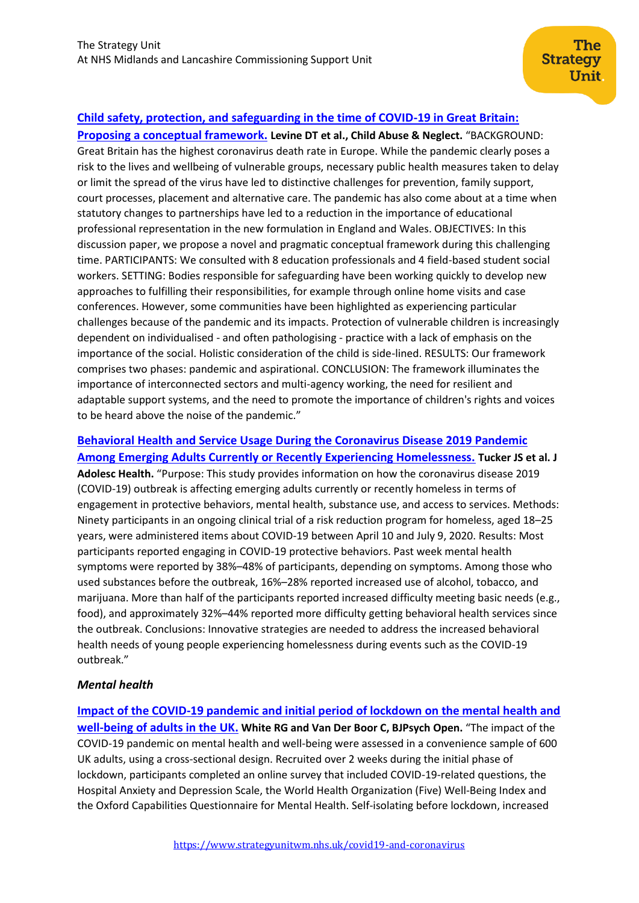## **[Child safety, protection, and safeguarding in the time of COVID-19 in Great Britain:](https://www.sciencedirect.com/science/article/pii/S0145213420303239?via%3Dihub)**

**[Proposing a conceptual framework.](https://www.sciencedirect.com/science/article/pii/S0145213420303239?via%3Dihub) Levine DT et al., Child Abuse & Neglect.** "BACKGROUND: Great Britain has the highest coronavirus death rate in Europe. While the pandemic clearly poses a risk to the lives and wellbeing of vulnerable groups, necessary public health measures taken to delay or limit the spread of the virus have led to distinctive challenges for prevention, family support, court processes, placement and alternative care. The pandemic has also come about at a time when statutory changes to partnerships have led to a reduction in the importance of educational professional representation in the new formulation in England and Wales. OBJECTIVES: In this discussion paper, we propose a novel and pragmatic conceptual framework during this challenging time. PARTICIPANTS: We consulted with 8 education professionals and 4 field-based student social workers. SETTING: Bodies responsible for safeguarding have been working quickly to develop new approaches to fulfilling their responsibilities, for example through online home visits and case conferences. However, some communities have been highlighted as experiencing particular challenges because of the pandemic and its impacts. Protection of vulnerable children is increasingly dependent on individualised - and often pathologising - practice with a lack of emphasis on the importance of the social. Holistic consideration of the child is side-lined. RESULTS: Our framework comprises two phases: pandemic and aspirational. CONCLUSION: The framework illuminates the importance of interconnected sectors and multi-agency working, the need for resilient and adaptable support systems, and the need to promote the importance of children's rights and voices to be heard above the noise of the pandemic."

## **[Behavioral Health and Service Usage During the Coronavirus Disease 2019 Pandemic](https://www.ncbi.nlm.nih.gov/pmc/articles/PMC7417157/)  [Among Emerging Adults Currently or Recently Experiencing Homelessness.](https://www.ncbi.nlm.nih.gov/pmc/articles/PMC7417157/) Tucker JS et al. J**

**Adolesc Health.** "Purpose: This study provides information on how the coronavirus disease 2019 (COVID-19) outbreak is affecting emerging adults currently or recently homeless in terms of engagement in protective behaviors, mental health, substance use, and access to services. Methods: Ninety participants in an ongoing clinical trial of a risk reduction program for homeless, aged 18–25 years, were administered items about COVID-19 between April 10 and July 9, 2020. Results: Most participants reported engaging in COVID-19 protective behaviors. Past week mental health symptoms were reported by 38%–48% of participants, depending on symptoms. Among those who used substances before the outbreak, 16%–28% reported increased use of alcohol, tobacco, and marijuana. More than half of the participants reported increased difficulty meeting basic needs (e.g., food), and approximately 32%–44% reported more difficulty getting behavioral health services since the outbreak. Conclusions: Innovative strategies are needed to address the increased behavioral health needs of young people experiencing homelessness during events such as the COVID-19 outbreak."

## *Mental health*

**[Impact of the COVID-19 pandemic and initial period of lockdown on the mental health and](https://www.ncbi.nlm.nih.gov/pmc/articles/PMC7431844/)  [well-being of adults in the UK.](https://www.ncbi.nlm.nih.gov/pmc/articles/PMC7431844/) White RG and Van Der Boor C, BJPsych Open.** "The impact of the COVID-19 pandemic on mental health and well-being were assessed in a convenience sample of 600 UK adults, using a cross-sectional design. Recruited over 2 weeks during the initial phase of lockdown, participants completed an online survey that included COVID-19-related questions, the Hospital Anxiety and Depression Scale, the World Health Organization (Five) Well-Being Index and the Oxford Capabilities Questionnaire for Mental Health. Self-isolating before lockdown, increased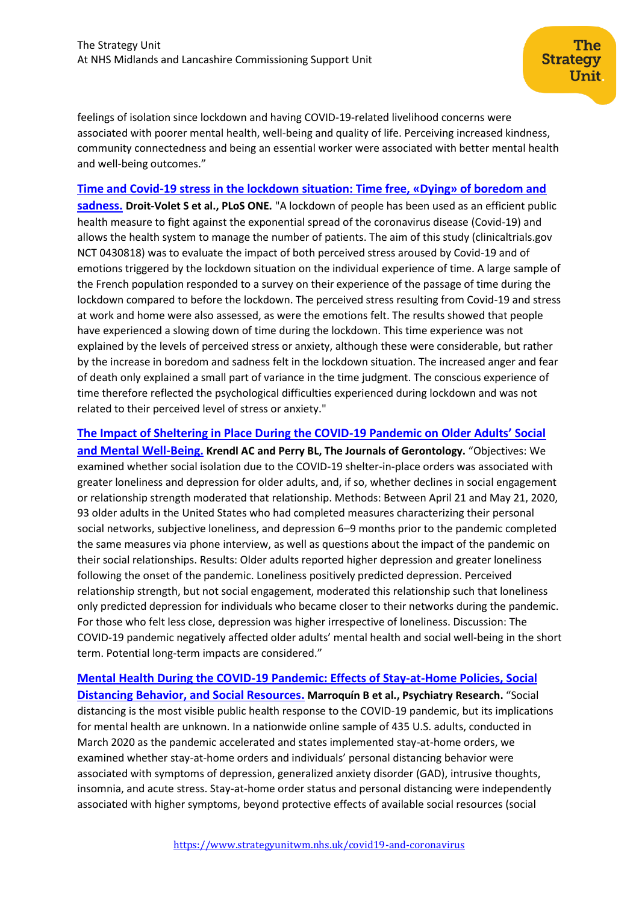feelings of isolation since lockdown and having COVID-19-related livelihood concerns were associated with poorer mental health, well-being and quality of life. Perceiving increased kindness, community connectedness and being an essential worker were associated with better mental health and well-being outcomes."

The

Unit

**Strategy** 

**[Time and Covid-19 stress in the lockdown situation: Time free, «Dying» of boredom and](https://journals.plos.org/plosone/article?id=10.1371/journal.pone.0236465)** 

**[sadness.](https://journals.plos.org/plosone/article?id=10.1371/journal.pone.0236465) Droit-Volet S et al., PLoS ONE.** "A lockdown of people has been used as an efficient public health measure to fight against the exponential spread of the coronavirus disease (Covid-19) and allows the health system to manage the number of patients. The aim of this study (clinicaltrials.gov NCT 0430818) was to evaluate the impact of both perceived stress aroused by Covid-19 and of emotions triggered by the lockdown situation on the individual experience of time. A large sample of the French population responded to a survey on their experience of the passage of time during the lockdown compared to before the lockdown. The perceived stress resulting from Covid-19 and stress at work and home were also assessed, as were the emotions felt. The results showed that people have experienced a slowing down of time during the lockdown. This time experience was not explained by the levels of perceived stress or anxiety, although these were considerable, but rather by the increase in boredom and sadness felt in the lockdown situation. The increased anger and fear of death only explained a small part of variance in the time judgment. The conscious experience of time therefore reflected the psychological difficulties experienced during lockdown and was not related to their perceived level of stress or anxiety."

**[The Impact of Sheltering in Place During the COVID-](https://academic.oup.com/psychsocgerontology/advance-article/doi/10.1093/geronb/gbaa110/5890805)19 Pandemic on Older Adults' Social [and Mental Well-Being.](https://academic.oup.com/psychsocgerontology/advance-article/doi/10.1093/geronb/gbaa110/5890805) Krendl AC and Perry BL, The Journals of Gerontology.** "Objectives: We examined whether social isolation due to the COVID-19 shelter-in-place orders was associated with greater loneliness and depression for older adults, and, if so, whether declines in social engagement or relationship strength moderated that relationship. Methods: Between April 21 and May 21, 2020, 93 older adults in the United States who had completed measures characterizing their personal social networks, subjective loneliness, and depression 6–9 months prior to the pandemic completed the same measures via phone interview, as well as questions about the impact of the pandemic on their social relationships. Results: Older adults reported higher depression and greater loneliness following the onset of the pandemic. Loneliness positively predicted depression. Perceived relationship strength, but not social engagement, moderated this relationship such that loneliness only predicted depression for individuals who became closer to their networks during the pandemic. For those who felt less close, depression was higher irrespective of loneliness. Discussion: The COVID-19 pandemic negatively affected older adults' mental health and social well-being in the short

**[Mental Health During the COVID-19 Pandemic: Effects of Stay-at-Home Policies, Social](https://www.sciencedirect.com/science/article/pii/S0165178120315419)  [Distancing Behavior, and Social Resources.](https://www.sciencedirect.com/science/article/pii/S0165178120315419) Marroquín B et al., Psychiatry Research.** "Social distancing is the most visible public health response to the COVID-19 pandemic, but its implications for mental health are unknown. In a nationwide online sample of 435 U.S. adults, conducted in March 2020 as the pandemic accelerated and states implemented stay-at-home orders, we examined whether stay-at-home orders and individuals' personal distancing behavior were associated with symptoms of depression, generalized anxiety disorder (GAD), intrusive thoughts, insomnia, and acute stress. Stay-at-home order status and personal distancing were independently associated with higher symptoms, beyond protective effects of available social resources (social

term. Potential long-term impacts are considered."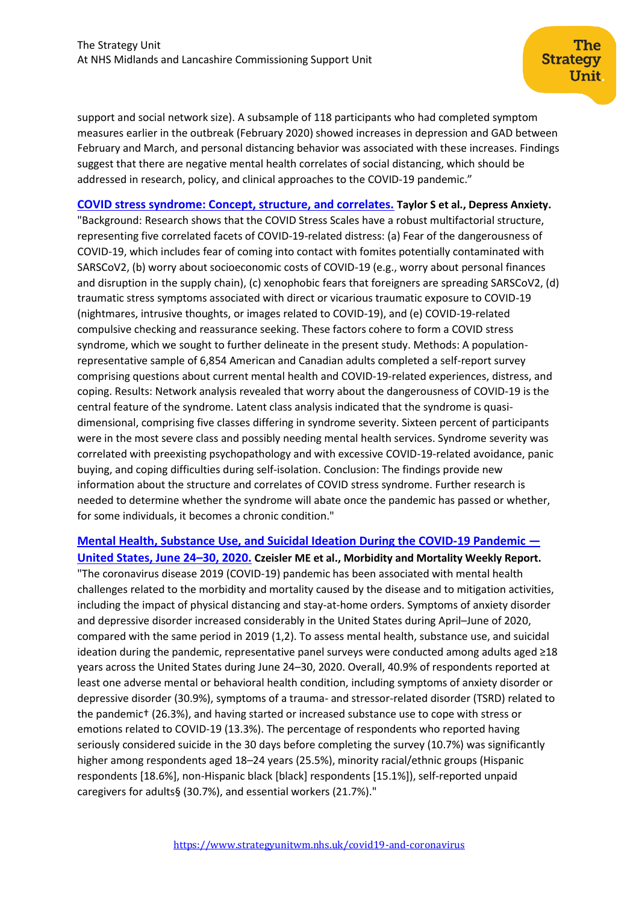support and social network size). A subsample of 118 participants who had completed symptom measures earlier in the outbreak (February 2020) showed increases in depression and GAD between February and March, and personal distancing behavior was associated with these increases. Findings suggest that there are negative mental health correlates of social distancing, which should be addressed in research, policy, and clinical approaches to the COVID-19 pandemic."

**[COVID stress syndrome: Concept, structure, and correlates.](https://pubmed.ncbi.nlm.nih.gov/32627255/) Taylor S et al., Depress Anxiety.** "Background: Research shows that the COVID Stress Scales have a robust multifactorial structure, representing five correlated facets of COVID-19-related distress: (a) Fear of the dangerousness of COVID-19, which includes fear of coming into contact with fomites potentially contaminated with SARSCoV2, (b) worry about socioeconomic costs of COVID-19 (e.g., worry about personal finances and disruption in the supply chain), (c) xenophobic fears that foreigners are spreading SARSCoV2, (d) traumatic stress symptoms associated with direct or vicarious traumatic exposure to COVID-19 (nightmares, intrusive thoughts, or images related to COVID-19), and (e) COVID-19-related compulsive checking and reassurance seeking. These factors cohere to form a COVID stress syndrome, which we sought to further delineate in the present study. Methods: A populationrepresentative sample of 6,854 American and Canadian adults completed a self-report survey comprising questions about current mental health and COVID-19-related experiences, distress, and coping. Results: Network analysis revealed that worry about the dangerousness of COVID-19 is the central feature of the syndrome. Latent class analysis indicated that the syndrome is quasidimensional, comprising five classes differing in syndrome severity. Sixteen percent of participants were in the most severe class and possibly needing mental health services. Syndrome severity was correlated with preexisting psychopathology and with excessive COVID-19-related avoidance, panic buying, and coping difficulties during self-isolation. Conclusion: The findings provide new information about the structure and correlates of COVID stress syndrome. Further research is needed to determine whether the syndrome will abate once the pandemic has passed or whether, for some individuals, it becomes a chronic condition."

# **[Mental Health, Substance Use, and Suicidal Ideation During the COVID-19 Pandemic](https://www.cdc.gov/mmwr/volumes/69/wr/mm6932a1.htm) —**

**[United States, June 24](https://www.cdc.gov/mmwr/volumes/69/wr/mm6932a1.htm)–30, 2020. Czeisler ME et al., Morbidity and Mortality Weekly Report.**  "The coronavirus disease 2019 (COVID-19) pandemic has been associated with mental health challenges related to the morbidity and mortality caused by the disease and to mitigation activities, including the impact of physical distancing and stay-at-home orders. Symptoms of anxiety disorder and depressive disorder increased considerably in the United States during April–June of 2020, compared with the same period in 2019 (1,2). To assess mental health, substance use, and suicidal ideation during the pandemic, representative panel surveys were conducted among adults aged ≥18 years across the United States during June 24–30, 2020. Overall, 40.9% of respondents reported at least one adverse mental or behavioral health condition, including symptoms of anxiety disorder or depressive disorder (30.9%), symptoms of a trauma- and stressor-related disorder (TSRD) related to the pandemic† (26.3%), and having started or increased substance use to cope with stress or emotions related to COVID-19 (13.3%). The percentage of respondents who reported having seriously considered suicide in the 30 days before completing the survey (10.7%) was significantly higher among respondents aged 18–24 years (25.5%), minority racial/ethnic groups (Hispanic respondents [18.6%], non-Hispanic black [black] respondents [15.1%]), self-reported unpaid caregivers for adults§ (30.7%), and essential workers (21.7%)."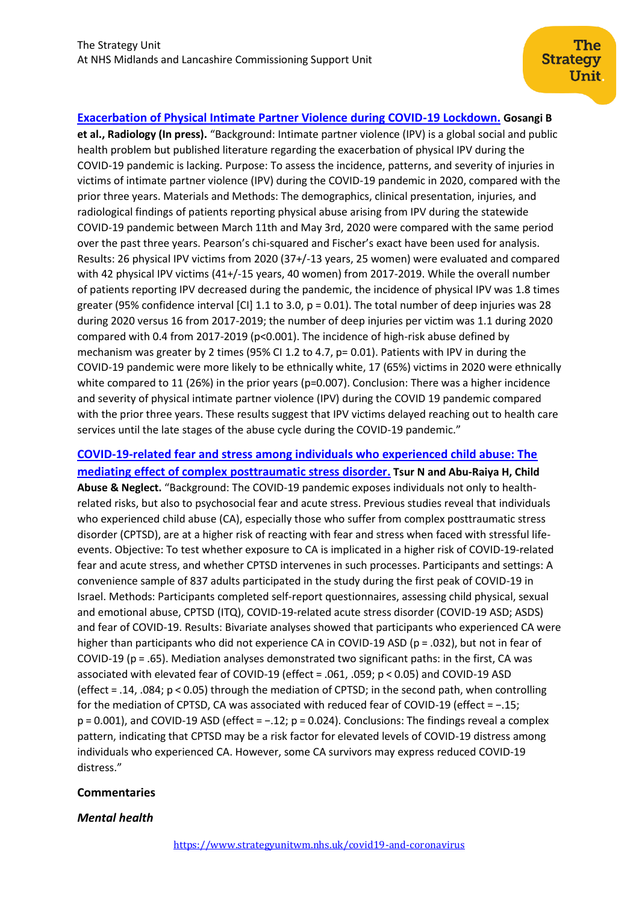## **[Exacerbation of Physical Intimate Partner Violence during COVID-19 Lockdown.](https://pubs.rsna.org/doi/pdf/10.1148/radiol.2020202866) Gosangi B**

**et al., Radiology (In press).** "Background: Intimate partner violence (IPV) is a global social and public health problem but published literature regarding the exacerbation of physical IPV during the COVID-19 pandemic is lacking. Purpose: To assess the incidence, patterns, and severity of injuries in victims of intimate partner violence (IPV) during the COVID-19 pandemic in 2020, compared with the prior three years. Materials and Methods: The demographics, clinical presentation, injuries, and radiological findings of patients reporting physical abuse arising from IPV during the statewide COVID-19 pandemic between March 11th and May 3rd, 2020 were compared with the same period over the past three years. Pearson's chi-squared and Fischer's exact have been used for analysis. Results: 26 physical IPV victims from 2020 (37+/-13 years, 25 women) were evaluated and compared with 42 physical IPV victims (41+/-15 years, 40 women) from 2017-2019. While the overall number of patients reporting IPV decreased during the pandemic, the incidence of physical IPV was 1.8 times greater (95% confidence interval [CI] 1.1 to 3.0, p = 0.01). The total number of deep injuries was 28 during 2020 versus 16 from 2017-2019; the number of deep injuries per victim was 1.1 during 2020 compared with 0.4 from 2017-2019 (p<0.001). The incidence of high-risk abuse defined by mechanism was greater by 2 times (95% CI 1.2 to 4.7, p= 0.01). Patients with IPV in during the COVID-19 pandemic were more likely to be ethnically white, 17 (65%) victims in 2020 were ethnically white compared to 11 (26%) in the prior years (p=0.007). Conclusion: There was a higher incidence and severity of physical intimate partner violence (IPV) during the COVID 19 pandemic compared with the prior three years. These results suggest that IPV victims delayed reaching out to health care services until the late stages of the abuse cycle during the COVID-19 pandemic."

## **[COVID-19-related fear and stress among individuals who experienced child abuse: The](https://www.sciencedirect.com/science/article/pii/S0145213420303495)  [mediating effect of complex posttraumatic stress disorder.](https://www.sciencedirect.com/science/article/pii/S0145213420303495) Tsur N and Abu-Raiya H, Child**

**Abuse & Neglect.** "Background: The COVID-19 pandemic exposes individuals not only to healthrelated risks, but also to psychosocial fear and acute stress. Previous studies reveal that individuals who experienced child abuse (CA), especially those who suffer from complex posttraumatic stress disorder (CPTSD), are at a higher risk of reacting with fear and stress when faced with stressful lifeevents. Objective: To test whether exposure to CA is implicated in a higher risk of COVID-19-related fear and acute stress, and whether CPTSD intervenes in such processes. Participants and settings: A convenience sample of 837 adults participated in the study during the first peak of COVID-19 in Israel. Methods: Participants completed self-report questionnaires, assessing child physical, sexual and emotional abuse, CPTSD (ITQ), COVID-19-related acute stress disorder (COVID-19 ASD; ASDS) and fear of COVID-19. Results: Bivariate analyses showed that participants who experienced CA were higher than participants who did not experience CA in COVID-19 ASD (p = .032), but not in fear of COVID-19 (p = .65). Mediation analyses demonstrated two significant paths: in the first, CA was associated with elevated fear of COVID-19 (effect = .061, .059; p < 0.05) and COVID-19 ASD (effect = .14, .084; p < 0.05) through the mediation of CPTSD; in the second path, when controlling for the mediation of CPTSD, CA was associated with reduced fear of COVID-19 (effect = −.15; p = 0.001), and COVID-19 ASD (effect = −.12; p = 0.024). Conclusions: The findings reveal a complex pattern, indicating that CPTSD may be a risk factor for elevated levels of COVID-19 distress among individuals who experienced CA. However, some CA survivors may express reduced COVID-19 distress."

#### **Commentaries**

#### *Mental health*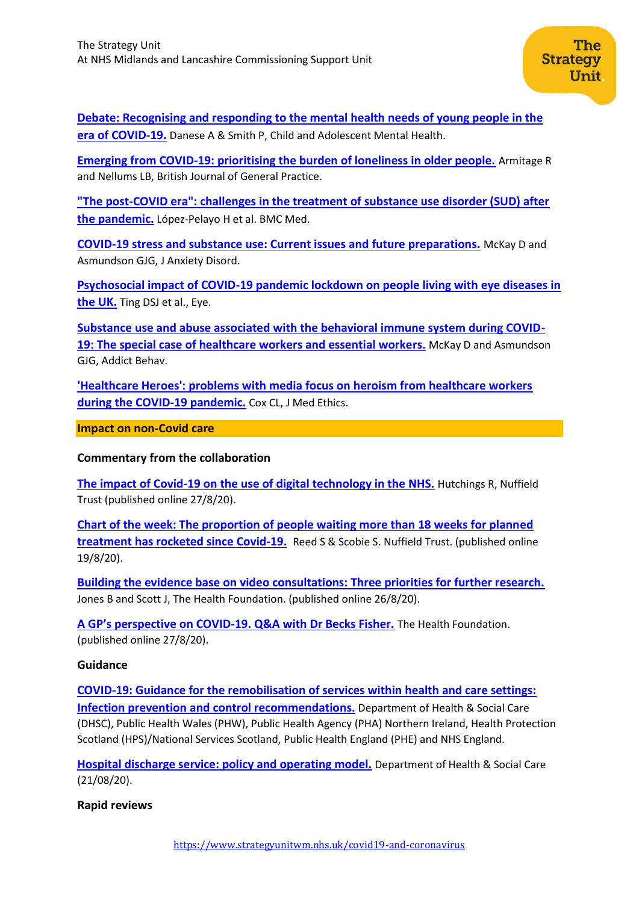**[Debate: Recognising and responding to the mental health needs of young people in the](https://acamh.onlinelibrary.wiley.com/doi/pdf/10.1111/camh.12414)  [era of COVID-19.](https://acamh.onlinelibrary.wiley.com/doi/pdf/10.1111/camh.12414)** Danese A & Smith P, Child and Adolescent Mental Health.

**[Emerging from COVID-19: prioritising the burden of loneliness in older people.](https://bjgp.org/content/70/697/382.2.long)** Armitage R and Nellums LB, British Journal of General Practice.

**["The post-COVID era": challenges in the treatment of substance use disorder \(SUD\) after](https://pubmed.ncbi.nlm.nih.gov/32731868/)  [the pandemic.](https://pubmed.ncbi.nlm.nih.gov/32731868/)** López-Pelayo H et al. BMC Med.

**[COVID-19 stress and substance use: Current issues and future preparations.](https://www.ncbi.nlm.nih.gov/pmc/articles/PMC7371588/)** McKay D and Asmundson GJG, J Anxiety Disord.

**[Psychosocial impact of COVID-19 pandemic lockdown on people living with eye diseases in](https://www.nature.com/articles/s41433-020-01130-4)  [the UK.](https://www.nature.com/articles/s41433-020-01130-4)** Ting DSJ et al., Eye.

**[Substance use and abuse associated with the behavioral immune system during COVID-](https://pubmed.ncbi.nlm.nih.gov/32622026/)[19: The special case of healthcare workers and essential workers.](https://pubmed.ncbi.nlm.nih.gov/32622026/)** McKay D and Asmundson GJG, Addict Behav.

**['Healthcare Heroes': problems with media focus on heroism from healthcare workers](https://pubmed.ncbi.nlm.nih.gov/32546658/)  [during the COVID-19 pandemic.](https://pubmed.ncbi.nlm.nih.gov/32546658/)** Cox CL, J Med Ethics.

**Impact on non-Covid care**

**Commentary from the collaboration**

**[The impact of Covid-19 on the use of digital technology in the NHS.](https://www.nuffieldtrust.org.uk/research/the-impact-of-covid-19-on-the-use-of-digital-technology-in-the-nhs)** Hutchings R, Nuffield Trust (published online 27/8/20).

**[Chart of the week: The proportion of people waiting more than 18 weeks for planned](https://www.nuffieldtrust.org.uk/resource/chart-of-the-week-the-proportion-of-people-waiting-more-than-18-weeks-for-planned-treatment-has-rocketed-since-covid-19)  [treatment has rocketed since Covid-19.](https://www.nuffieldtrust.org.uk/resource/chart-of-the-week-the-proportion-of-people-waiting-more-than-18-weeks-for-planned-treatment-has-rocketed-since-covid-19)** Reed S & Scobie S. Nuffield Trust. (published online 19/8/20).

**[Building the evidence base on video consultations: Three priorities for further research.](https://www.health.org.uk/news-and-comment/blogs/building-the-evidence-base-on-video-consultations)** Jones B and Scott J, The Health Foundation. (published online 26/8/20).

**A GP's perspective o[n COVID-19. Q&A with Dr Becks Fisher.](https://www.health.org.uk/news-and-comment/newsletter-features/a-gp-perspective-on-covid-19)** The Health Foundation. (published online 27/8/20).

## **Guidance**

**[COVID-19: Guidance for the remobilisation of services within health and care settings:](https://assets.publishing.service.gov.uk/government/uploads/system/uploads/attachment_data/file/910885/COVID-19_Infection_prevention_and_control_guidance_FINAL_PDF_20082020.pdf)  [Infection prevention and control recommendations.](https://assets.publishing.service.gov.uk/government/uploads/system/uploads/attachment_data/file/910885/COVID-19_Infection_prevention_and_control_guidance_FINAL_PDF_20082020.pdf)** Department of Health & Social Care (DHSC), Public Health Wales (PHW), Public Health Agency (PHA) Northern Ireland, Health Protection Scotland (HPS)/National Services Scotland, Public Health England (PHE) and NHS England.

**[Hospital discharge service: policy and operating model.](https://www.gov.uk/government/publications/hospital-discharge-service-policy-and-operating-model)** Department of Health & Social Care (21/08/20).

**Rapid reviews**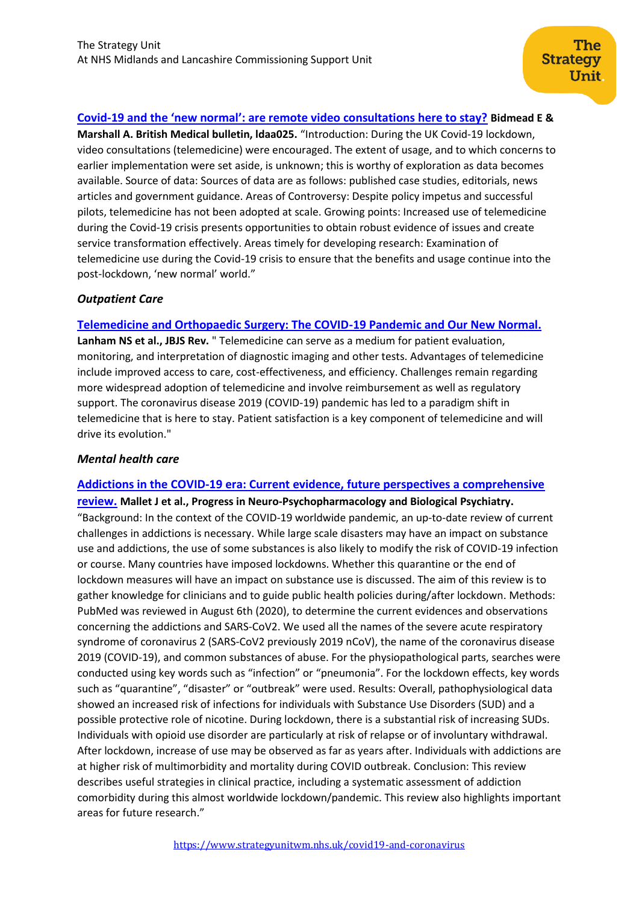## **Covid-[19 and the 'new normal': are remote video consultations here to stay?](https://academic.oup.com/bmb/advance-article/doi/10.1093/bmb/ldaa025/5895942) Bidmead E &**

**Marshall A. British Medical bulletin, ldaa025.** "Introduction: During the UK Covid-19 lockdown, video consultations (telemedicine) were encouraged. The extent of usage, and to which concerns to earlier implementation were set aside, is unknown; this is worthy of exploration as data becomes available. Source of data: Sources of data are as follows: published case studies, editorials, news articles and government guidance. Areas of Controversy: Despite policy impetus and successful pilots, telemedicine has not been adopted at scale. Growing points: Increased use of telemedicine during the Covid-19 crisis presents opportunities to obtain robust evidence of issues and create service transformation effectively. Areas timely for developing research: Examination of telemedicine use during the Covid-19 crisis to ensure that the benefits and usage continue into the post-lockdown, 'new normal' world."

### *Outpatient Care*

### **[Telemedicine and Orthopaedic Surgery: The COVID-19 Pandemic and Our New Normal.](https://pubmed.ncbi.nlm.nih.gov/32759613/)**

**Lanham NS et al., JBJS Rev.** " Telemedicine can serve as a medium for patient evaluation, monitoring, and interpretation of diagnostic imaging and other tests. Advantages of telemedicine include improved access to care, cost-effectiveness, and efficiency. Challenges remain regarding more widespread adoption of telemedicine and involve reimbursement as well as regulatory support. The coronavirus disease 2019 (COVID-19) pandemic has led to a paradigm shift in telemedicine that is here to stay. Patient satisfaction is a key component of telemedicine and will drive its evolution."

## *Mental health care*

#### **Addictions in the [COVID-19 era: Current evidence, future perspectives a comprehensive](https://www.sciencedirect.com/science/article/pii/S0278584620303869)**

**[review.](https://www.sciencedirect.com/science/article/pii/S0278584620303869) Mallet J et al., Progress in Neuro-Psychopharmacology and Biological Psychiatry.** "Background: In the context of the COVID-19 worldwide pandemic, an up-to-date review of current challenges in addictions is necessary. While large scale disasters may have an impact on substance use and addictions, the use of some substances is also likely to modify the risk of COVID-19 infection or course. Many countries have imposed lockdowns. Whether this quarantine or the end of lockdown measures will have an impact on substance use is discussed. The aim of this review is to gather knowledge for clinicians and to guide public health policies during/after lockdown. Methods: PubMed was reviewed in August 6th (2020), to determine the current evidences and observations concerning the addictions and SARS-CoV2. We used all the names of the severe acute respiratory syndrome of coronavirus 2 (SARS-CoV2 previously 2019 nCoV), the name of the coronavirus disease 2019 (COVID-19), and common substances of abuse. For the physiopathological parts, searches were conducted using key words such as "infection" or "pneumonia". For the lockdown effects, key words such as "quarantine", "disaster" or "outbreak" were used. Results: Overall, pathophysiological data showed an increased risk of infections for individuals with Substance Use Disorders (SUD) and a possible protective role of nicotine. During lockdown, there is a substantial risk of increasing SUDs. Individuals with opioid use disorder are particularly at risk of relapse or of involuntary withdrawal. After lockdown, increase of use may be observed as far as years after. Individuals with addictions are at higher risk of multimorbidity and mortality during COVID outbreak. Conclusion: This review describes useful strategies in clinical practice, including a systematic assessment of addiction comorbidity during this almost worldwide lockdown/pandemic. This review also highlights important areas for future research."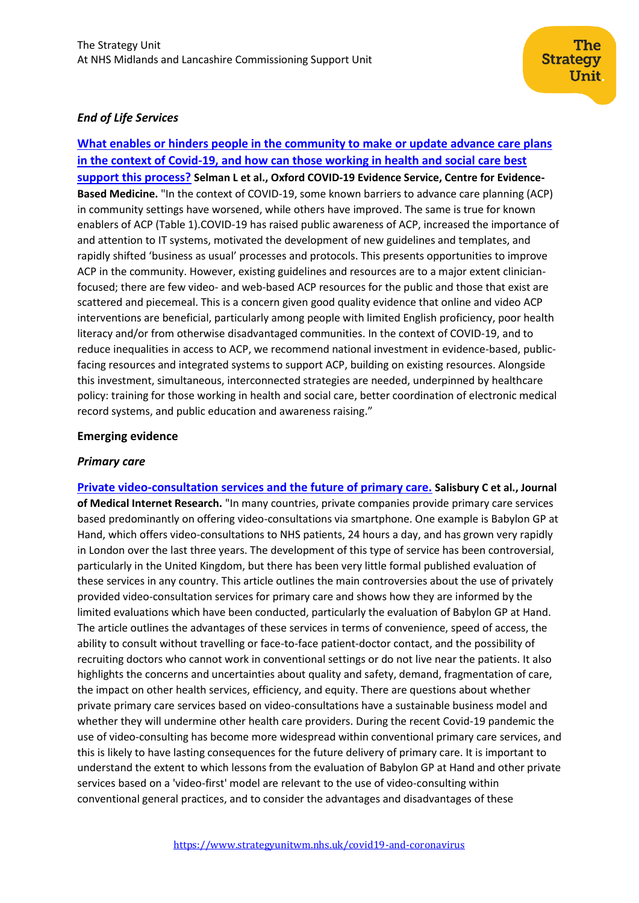## *End of Life Services*

**[What enables or hinders people in the community to make or update advance care plans](https://www.cebm.net/covid-19/advance-care-planning-in-the-community-in-the-context-of-covid-19/)  [in the context of Covid-19, and how can those working in health and social care best](https://www.cebm.net/covid-19/advance-care-planning-in-the-community-in-the-context-of-covid-19/)  [support this process?](https://www.cebm.net/covid-19/advance-care-planning-in-the-community-in-the-context-of-covid-19/) Selman L et al., Oxford COVID-19 Evidence Service, Centre for Evidence-Based Medicine.** "In the context of COVID-19, some known barriers to advance care planning (ACP) in community settings have worsened, while others have improved. The same is true for known enablers of ACP (Table 1).COVID-19 has raised public awareness of ACP, increased the importance of and attention to IT systems, motivated the development of new guidelines and templates, and rapidly shifted 'business as usual' processes and protocols. This presents opportunities to improve ACP in the community. However, existing guidelines and resources are to a major extent clinicianfocused; there are few video- and web-based ACP resources for the public and those that exist are scattered and piecemeal. This is a concern given good quality evidence that online and video ACP interventions are beneficial, particularly among people with limited English proficiency, poor health literacy and/or from otherwise disadvantaged communities. In the context of COVID-19, and to reduce inequalities in access to ACP, we recommend national investment in evidence-based, publicfacing resources and integrated systems to support ACP, building on existing resources. Alongside this investment, simultaneous, interconnected strategies are needed, underpinned by healthcare policy: training for those working in health and social care, better coordination of electronic medical record systems, and public education and awareness raising."

The **Strategy** 

Unit.

### **Emerging evidence**

#### *Primary care*

**[Private video-consultation services and the future of primary care.](https://preprints.jmir.org/preprint/19415/accepted) Salisbury C et al., Journal of Medical Internet Research.** "In many countries, private companies provide primary care services based predominantly on offering video-consultations via smartphone. One example is Babylon GP at Hand, which offers video-consultations to NHS patients, 24 hours a day, and has grown very rapidly in London over the last three years. The development of this type of service has been controversial, particularly in the United Kingdom, but there has been very little formal published evaluation of these services in any country. This article outlines the main controversies about the use of privately provided video-consultation services for primary care and shows how they are informed by the limited evaluations which have been conducted, particularly the evaluation of Babylon GP at Hand. The article outlines the advantages of these services in terms of convenience, speed of access, the ability to consult without travelling or face-to-face patient-doctor contact, and the possibility of recruiting doctors who cannot work in conventional settings or do not live near the patients. It also highlights the concerns and uncertainties about quality and safety, demand, fragmentation of care, the impact on other health services, efficiency, and equity. There are questions about whether private primary care services based on video-consultations have a sustainable business model and whether they will undermine other health care providers. During the recent Covid-19 pandemic the use of video-consulting has become more widespread within conventional primary care services, and this is likely to have lasting consequences for the future delivery of primary care. It is important to understand the extent to which lessons from the evaluation of Babylon GP at Hand and other private services based on a 'video-first' model are relevant to the use of video-consulting within conventional general practices, and to consider the advantages and disadvantages of these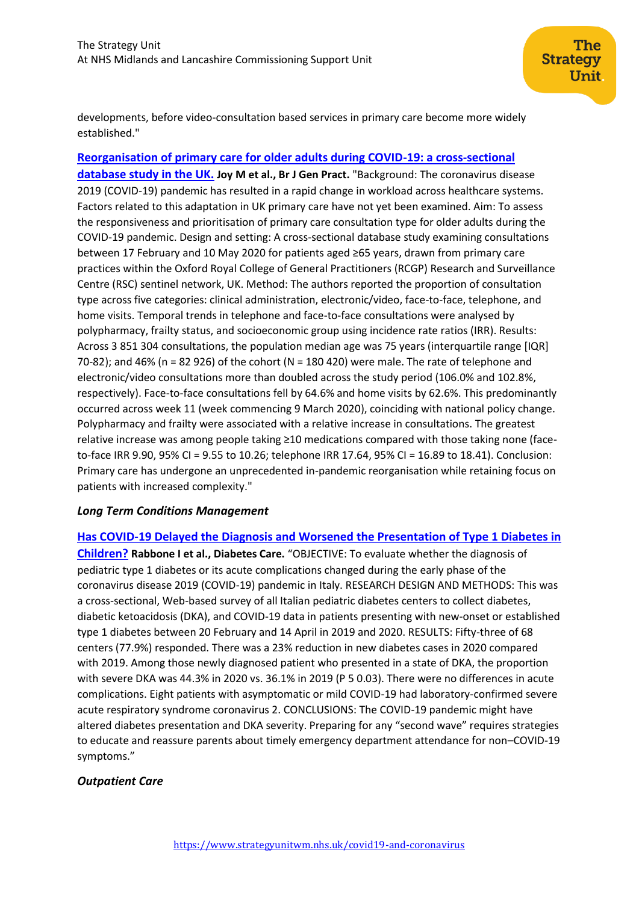developments, before video-consultation based services in primary care become more widely established."

**[Reorganisation of primary care for older adults during COVID-19: a cross-sectional](https://pubmed.ncbi.nlm.nih.gov/32661009/)  [database study in the UK.](https://pubmed.ncbi.nlm.nih.gov/32661009/) Joy M et al., Br J Gen Pract.** "Background: The coronavirus disease 2019 (COVID-19) pandemic has resulted in a rapid change in workload across healthcare systems. Factors related to this adaptation in UK primary care have not yet been examined. Aim: To assess the responsiveness and prioritisation of primary care consultation type for older adults during the COVID-19 pandemic. Design and setting: A cross-sectional database study examining consultations between 17 February and 10 May 2020 for patients aged ≥65 years, drawn from primary care practices within the Oxford Royal College of General Practitioners (RCGP) Research and Surveillance Centre (RSC) sentinel network, UK. Method: The authors reported the proportion of consultation type across five categories: clinical administration, electronic/video, face-to-face, telephone, and home visits. Temporal trends in telephone and face-to-face consultations were analysed by polypharmacy, frailty status, and socioeconomic group using incidence rate ratios (IRR). Results: Across 3 851 304 consultations, the population median age was 75 years (interquartile range [IQR] 70-82); and 46% (n = 82 926) of the cohort (N = 180 420) were male. The rate of telephone and electronic/video consultations more than doubled across the study period (106.0% and 102.8%, respectively). Face-to-face consultations fell by 64.6% and home visits by 62.6%. This predominantly occurred across week 11 (week commencing 9 March 2020), coinciding with national policy change. Polypharmacy and frailty were associated with a relative increase in consultations. The greatest relative increase was among people taking ≥10 medications compared with those taking none (faceto-face IRR 9.90, 95% CI = 9.55 to 10.26; telephone IRR 17.64, 95% CI = 16.89 to 18.41). Conclusion: Primary care has undergone an unprecedented in-pandemic reorganisation while retaining focus on patients with increased complexity."

## *Long Term Conditions Management*

**[Has COVID-19 Delayed the Diagnosis and Worsened the Presentation of Type 1 Diabetes in](https://care.diabetesjournals.org/content/diacare/early/2020/08/07/dc20-1321.full.pdf)  [Children?](https://care.diabetesjournals.org/content/diacare/early/2020/08/07/dc20-1321.full.pdf) Rabbone I et al., Diabetes Care.** "OBJECTIVE: To evaluate whether the diagnosis of pediatric type 1 diabetes or its acute complications changed during the early phase of the coronavirus disease 2019 (COVID-19) pandemic in Italy. RESEARCH DESIGN AND METHODS: This was a cross-sectional, Web-based survey of all Italian pediatric diabetes centers to collect diabetes, diabetic ketoacidosis (DKA), and COVID-19 data in patients presenting with new-onset or established type 1 diabetes between 20 February and 14 April in 2019 and 2020. RESULTS: Fifty-three of 68 centers (77.9%) responded. There was a 23% reduction in new diabetes cases in 2020 compared with 2019. Among those newly diagnosed patient who presented in a state of DKA, the proportion with severe DKA was 44.3% in 2020 vs. 36.1% in 2019 (P 5 0.03). There were no differences in acute complications. Eight patients with asymptomatic or mild COVID-19 had laboratory-confirmed severe acute respiratory syndrome coronavirus 2. CONCLUSIONS: The COVID-19 pandemic might have altered diabetes presentation and DKA severity. Preparing for any "second wave" requires strategies to educate and reassure parents about timely emergency department attendance for non–COVID-19 symptoms."

## *Outpatient Care*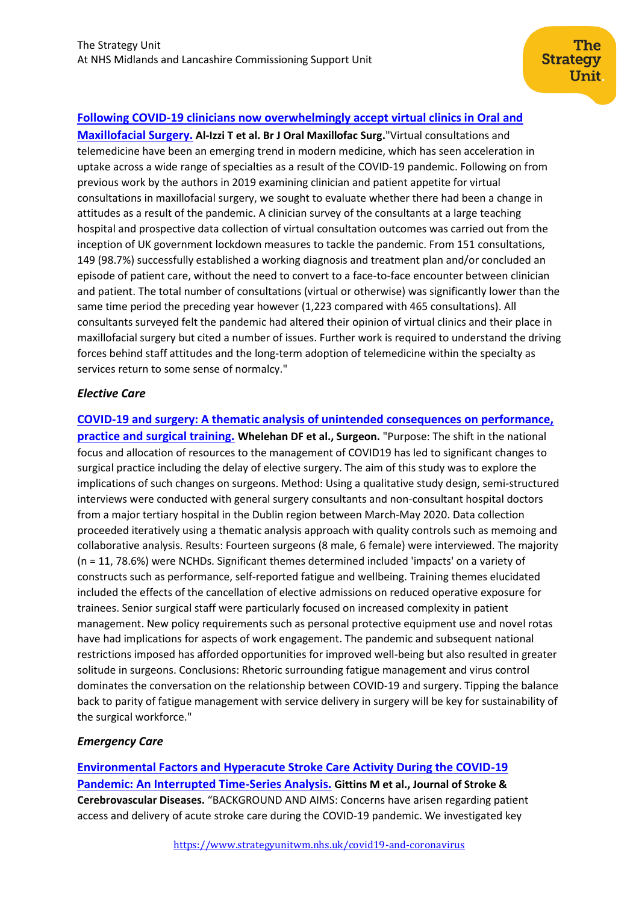## **[Following COVID-19 clinicians now overwhelmingly accept virtual clinics in Oral and](https://www.bjoms.com/article/S0266-4356(20)30382-X/fulltext#secsect0005)**

**[Maxillofacial Surgery.](https://www.bjoms.com/article/S0266-4356(20)30382-X/fulltext#secsect0005) Al-Izzi T et al. Br J Oral Maxillofac Surg.**"Virtual consultations and telemedicine have been an emerging trend in modern medicine, which has seen acceleration in uptake across a wide range of specialties as a result of the COVID-19 pandemic. Following on from previous work by the authors in 2019 examining clinician and patient appetite for virtual consultations in maxillofacial surgery, we sought to evaluate whether there had been a change in attitudes as a result of the pandemic. A clinician survey of the consultants at a large teaching hospital and prospective data collection of virtual consultation outcomes was carried out from the inception of UK government lockdown measures to tackle the pandemic. From 151 consultations, 149 (98.7%) successfully established a working diagnosis and treatment plan and/or concluded an episode of patient care, without the need to convert to a face-to-face encounter between clinician and patient. The total number of consultations (virtual or otherwise) was significantly lower than the same time period the preceding year however (1,223 compared with 465 consultations). All consultants surveyed felt the pandemic had altered their opinion of virtual clinics and their place in maxillofacial surgery but cited a number of issues. Further work is required to understand the driving forces behind staff attitudes and the long-term adoption of telemedicine within the specialty as services return to some sense of normalcy."

#### *Elective Care*

**[COVID-19 and surgery: A thematic analysis of unintended consequences on performance,](https://pubmed.ncbi.nlm.nih.gov/32807661/)  [practice and surgical training.](https://pubmed.ncbi.nlm.nih.gov/32807661/) Whelehan DF et al., Surgeon.** "Purpose: The shift in the national focus and allocation of resources to the management of COVID19 has led to significant changes to surgical practice including the delay of elective surgery. The aim of this study was to explore the implications of such changes on surgeons. Method: Using a qualitative study design, semi-structured interviews were conducted with general surgery consultants and non-consultant hospital doctors from a major tertiary hospital in the Dublin region between March-May 2020. Data collection proceeded iteratively using a thematic analysis approach with quality controls such as memoing and collaborative analysis. Results: Fourteen surgeons (8 male, 6 female) were interviewed. The majority (n = 11, 78.6%) were NCHDs. Significant themes determined included 'impacts' on a variety of constructs such as performance, self-reported fatigue and wellbeing. Training themes elucidated included the effects of the cancellation of elective admissions on reduced operative exposure for trainees. Senior surgical staff were particularly focused on increased complexity in patient management. New policy requirements such as personal protective equipment use and novel rotas have had implications for aspects of work engagement. The pandemic and subsequent national restrictions imposed has afforded opportunities for improved well-being but also resulted in greater solitude in surgeons. Conclusions: Rhetoric surrounding fatigue management and virus control dominates the conversation on the relationship between COVID-19 and surgery. Tipping the balance back to parity of fatigue management with service delivery in surgery will be key for sustainability of the surgical workforce."

## *Emergency Care*

**[Environmental Factors and Hyperacute Stroke Care Activity During the COVID-19](https://www.strokejournal.org/article/S1052-3057(20)30647-9/fulltext)  [Pandemic: An Interrupted Time-Series Analysis.](https://www.strokejournal.org/article/S1052-3057(20)30647-9/fulltext) Gittins M et al., Journal of Stroke & Cerebrovascular Diseases.** "BACKGROUND AND AIMS: Concerns have arisen regarding patient access and delivery of acute stroke care during the COVID-19 pandemic. We investigated key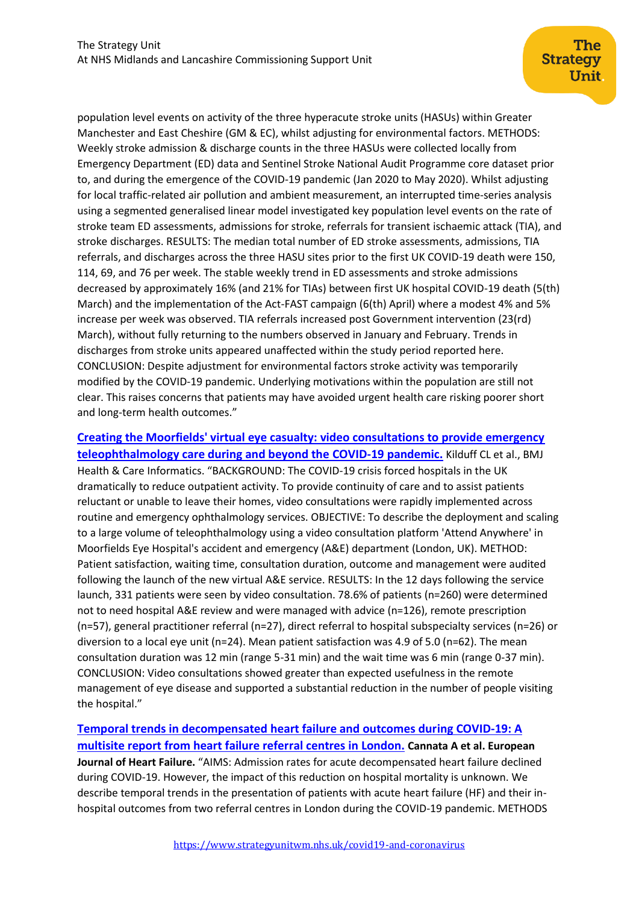population level events on activity of the three hyperacute stroke units (HASUs) within Greater Manchester and East Cheshire (GM & EC), whilst adjusting for environmental factors. METHODS: Weekly stroke admission & discharge counts in the three HASUs were collected locally from Emergency Department (ED) data and Sentinel Stroke National Audit Programme core dataset prior to, and during the emergence of the COVID-19 pandemic (Jan 2020 to May 2020). Whilst adjusting for local traffic-related air pollution and ambient measurement, an interrupted time-series analysis using a segmented generalised linear model investigated key population level events on the rate of stroke team ED assessments, admissions for stroke, referrals for transient ischaemic attack (TIA), and stroke discharges. RESULTS: The median total number of ED stroke assessments, admissions, TIA referrals, and discharges across the three HASU sites prior to the first UK COVID-19 death were 150, 114, 69, and 76 per week. The stable weekly trend in ED assessments and stroke admissions decreased by approximately 16% (and 21% for TIAs) between first UK hospital COVID-19 death (5(th) March) and the implementation of the Act-FAST campaign (6(th) April) where a modest 4% and 5% increase per week was observed. TIA referrals increased post Government intervention (23(rd) March), without fully returning to the numbers observed in January and February. Trends in discharges from stroke units appeared unaffected within the study period reported here. CONCLUSION: Despite adjustment for environmental factors stroke activity was temporarily modified by the COVID-19 pandemic. Underlying motivations within the population are still not clear. This raises concerns that patients may have avoided urgent health care risking poorer short and long-term health outcomes."

**Creating [the Moorfields' virtual eye casualty: video consultations to provide emergency](https://informatics.bmj.com/content/bmjhci/27/3/e100179.full.pdf)  [teleophthalmology care during and beyond the COVID-19 pandemic.](https://informatics.bmj.com/content/bmjhci/27/3/e100179.full.pdf)** Kilduff CL et al., BMJ Health & Care Informatics. "BACKGROUND: The COVID-19 crisis forced hospitals in the UK dramatically to reduce outpatient activity. To provide continuity of care and to assist patients reluctant or unable to leave their homes, video consultations were rapidly implemented across routine and emergency ophthalmology services. OBJECTIVE: To describe the deployment and scaling to a large volume of teleophthalmology using a video consultation platform 'Attend Anywhere' in Moorfields Eye Hospital's accident and emergency (A&E) department (London, UK). METHOD: Patient satisfaction, waiting time, consultation duration, outcome and management were audited following the launch of the new virtual A&E service. RESULTS: In the 12 days following the service launch, 331 patients were seen by video consultation. 78.6% of patients (n=260) were determined not to need hospital A&E review and were managed with advice (n=126), remote prescription (n=57), general practitioner referral (n=27), direct referral to hospital subspecialty services (n=26) or diversion to a local eye unit (n=24). Mean patient satisfaction was 4.9 of 5.0 (n=62). The mean consultation duration was 12 min (range 5-31 min) and the wait time was 6 min (range 0-37 min). CONCLUSION: Video consultations showed greater than expected usefulness in the remote management of eye disease and supported a substantial reduction in the number of people visiting the hospital."

**[Temporal trends in decompensated heart failure and outcomes during COVID-19: A](https://onlinelibrary.wiley.com/doi/10.1002/ejhf.1986)  [multisite report from heart failure referral centres in London.](https://onlinelibrary.wiley.com/doi/10.1002/ejhf.1986) Cannata A et al. European Journal of Heart Failure.** "AIMS: Admission rates for acute decompensated heart failure declined during COVID-19. However, the impact of this reduction on hospital mortality is unknown. We describe temporal trends in the presentation of patients with acute heart failure (HF) and their inhospital outcomes from two referral centres in London during the COVID-19 pandemic. METHODS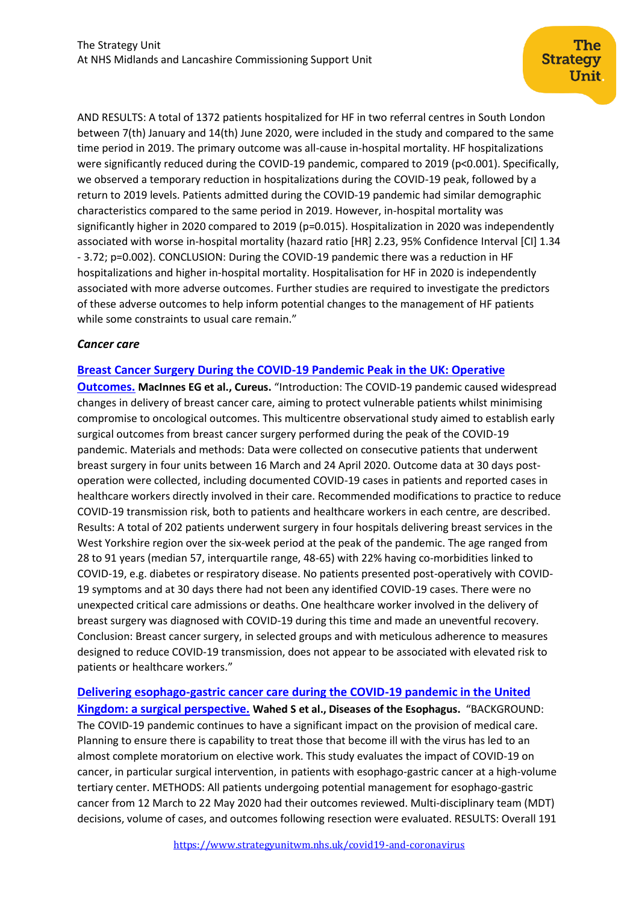AND RESULTS: A total of 1372 patients hospitalized for HF in two referral centres in South London between 7(th) January and 14(th) June 2020, were included in the study and compared to the same time period in 2019. The primary outcome was all-cause in-hospital mortality. HF hospitalizations were significantly reduced during the COVID-19 pandemic, compared to 2019 (p<0.001). Specifically, we observed a temporary reduction in hospitalizations during the COVID-19 peak, followed by a return to 2019 levels. Patients admitted during the COVID-19 pandemic had similar demographic characteristics compared to the same period in 2019. However, in-hospital mortality was significantly higher in 2020 compared to 2019 (p=0.015). Hospitalization in 2020 was independently associated with worse in-hospital mortality (hazard ratio [HR] 2.23, 95% Confidence Interval [CI] 1.34 - 3.72; p=0.002). CONCLUSION: During the COVID-19 pandemic there was a reduction in HF hospitalizations and higher in-hospital mortality. Hospitalisation for HF in 2020 is independently associated with more adverse outcomes. Further studies are required to investigate the predictors of these adverse outcomes to help inform potential changes to the management of HF patients while some constraints to usual care remain."

### *Cancer care*

### **[Breast Cancer Surgery During the COVID-19 Pandemic Peak in the UK: Operative](https://www.cureus.com/articles/36547-breast-cancer-surgery-during-the-covid-19-pandemic-peak-in-the-uk-operative-outcomes)**

**[Outcomes.](https://www.cureus.com/articles/36547-breast-cancer-surgery-during-the-covid-19-pandemic-peak-in-the-uk-operative-outcomes) MacInnes EG et al., Cureus.** "Introduction: The COVID-19 pandemic caused widespread changes in delivery of breast cancer care, aiming to protect vulnerable patients whilst minimising compromise to oncological outcomes. This multicentre observational study aimed to establish early surgical outcomes from breast cancer surgery performed during the peak of the COVID-19 pandemic. Materials and methods: Data were collected on consecutive patients that underwent breast surgery in four units between 16 March and 24 April 2020. Outcome data at 30 days postoperation were collected, including documented COVID-19 cases in patients and reported cases in healthcare workers directly involved in their care. Recommended modifications to practice to reduce COVID-19 transmission risk, both to patients and healthcare workers in each centre, are described. Results: A total of 202 patients underwent surgery in four hospitals delivering breast services in the West Yorkshire region over the six-week period at the peak of the pandemic. The age ranged from 28 to 91 years (median 57, interquartile range, 48-65) with 22% having co-morbidities linked to COVID-19, e.g. diabetes or respiratory disease. No patients presented post-operatively with COVID-19 symptoms and at 30 days there had not been any identified COVID-19 cases. There were no unexpected critical care admissions or deaths. One healthcare worker involved in the delivery of breast surgery was diagnosed with COVID-19 during this time and made an uneventful recovery. Conclusion: Breast cancer surgery, in selected groups and with meticulous adherence to measures designed to reduce COVID-19 transmission, does not appear to be associated with elevated risk to patients or healthcare workers."

**[Delivering esophago-gastric cancer care during the COVID-19 pandemic in the United](https://academic.oup.com/dote/advance-article/doi/10.1093/dote/doaa091/5894848)  [Kingdom: a surgical perspective.](https://academic.oup.com/dote/advance-article/doi/10.1093/dote/doaa091/5894848) Wahed S et al., Diseases of the Esophagus.** "BACKGROUND: The COVID-19 pandemic continues to have a significant impact on the provision of medical care. Planning to ensure there is capability to treat those that become ill with the virus has led to an almost complete moratorium on elective work. This study evaluates the impact of COVID-19 on cancer, in particular surgical intervention, in patients with esophago-gastric cancer at a high-volume tertiary center. METHODS: All patients undergoing potential management for esophago-gastric cancer from 12 March to 22 May 2020 had their outcomes reviewed. Multi-disciplinary team (MDT) decisions, volume of cases, and outcomes following resection were evaluated. RESULTS: Overall 191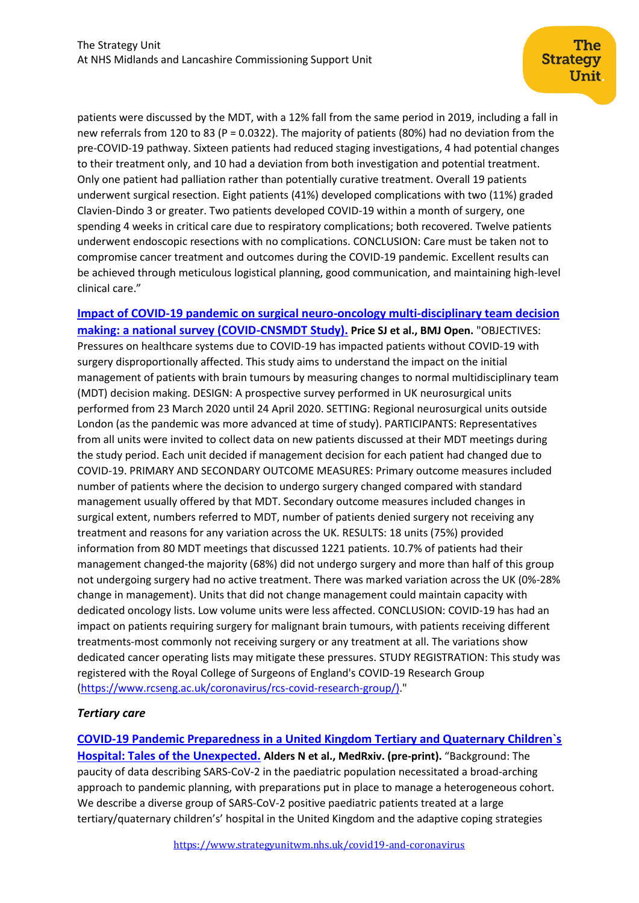patients were discussed by the MDT, with a 12% fall from the same period in 2019, including a fall in new referrals from 120 to 83 (P = 0.0322). The majority of patients (80%) had no deviation from the pre-COVID-19 pathway. Sixteen patients had reduced staging investigations, 4 had potential changes to their treatment only, and 10 had a deviation from both investigation and potential treatment. Only one patient had palliation rather than potentially curative treatment. Overall 19 patients underwent surgical resection. Eight patients (41%) developed complications with two (11%) graded Clavien-Dindo 3 or greater. Two patients developed COVID-19 within a month of surgery, one spending 4 weeks in critical care due to respiratory complications; both recovered. Twelve patients underwent endoscopic resections with no complications. CONCLUSION: Care must be taken not to compromise cancer treatment and outcomes during the COVID-19 pandemic. Excellent results can be achieved through meticulous logistical planning, good communication, and maintaining high-level clinical care."

**[Impact of COVID-19 pandemic on surgical neuro-oncology multi-disciplinary team decision](https://bmjopen.bmj.com/content/10/8/e040898)  making: [a national survey \(COVID-CNSMDT Study\).](https://bmjopen.bmj.com/content/10/8/e040898) Price SJ et al., BMJ Open.** "OBJECTIVES: Pressures on healthcare systems due to COVID-19 has impacted patients without COVID-19 with surgery disproportionally affected. This study aims to understand the impact on the initial management of patients with brain tumours by measuring changes to normal multidisciplinary team (MDT) decision making. DESIGN: A prospective survey performed in UK neurosurgical units performed from 23 March 2020 until 24 April 2020. SETTING: Regional neurosurgical units outside London (as the pandemic was more advanced at time of study). PARTICIPANTS: Representatives from all units were invited to collect data on new patients discussed at their MDT meetings during the study period. Each unit decided if management decision for each patient had changed due to COVID-19. PRIMARY AND SECONDARY OUTCOME MEASURES: Primary outcome measures included number of patients where the decision to undergo surgery changed compared with standard management usually offered by that MDT. Secondary outcome measures included changes in surgical extent, numbers referred to MDT, number of patients denied surgery not receiving any treatment and reasons for any variation across the UK. RESULTS: 18 units (75%) provided information from 80 MDT meetings that discussed 1221 patients. 10.7% of patients had their management changed-the majority (68%) did not undergo surgery and more than half of this group not undergoing surgery had no active treatment. There was marked variation across the UK (0%-28% change in management). Units that did not change management could maintain capacity with dedicated oncology lists. Low volume units were less affected. CONCLUSION: COVID-19 has had an impact on patients requiring surgery for malignant brain tumours, with patients receiving different treatments-most commonly not receiving surgery or any treatment at all. The variations show dedicated cancer operating lists may mitigate these pressures. STUDY REGISTRATION: This study was registered with the Royal College of Surgeons of England's COVID-19 Research Group [\(https://www.rcseng.ac.uk/coronavirus/rcs-covid-research-group/\).](https://www.rcseng.ac.uk/coronavirus/rcs-covid-research-group/))"

## *Tertiary care*

**[COVID-19 Pandemic Preparedness in a United Kingdom Tertiary and Quaternary Children`s](https://www.medrxiv.org/content/10.1101/2020.08.20.20178541v1)  [Hospital: Tales of the Unexpected.](https://www.medrxiv.org/content/10.1101/2020.08.20.20178541v1) Alders N et al., MedRxiv. (pre-print).** "Background: The paucity of data describing SARS-CoV-2 in the paediatric population necessitated a broad-arching approach to pandemic planning, with preparations put in place to manage a heterogeneous cohort. We describe a diverse group of SARS-CoV-2 positive paediatric patients treated at a large tertiary/quaternary children's' hospital in the United Kingdom and the adaptive coping strategies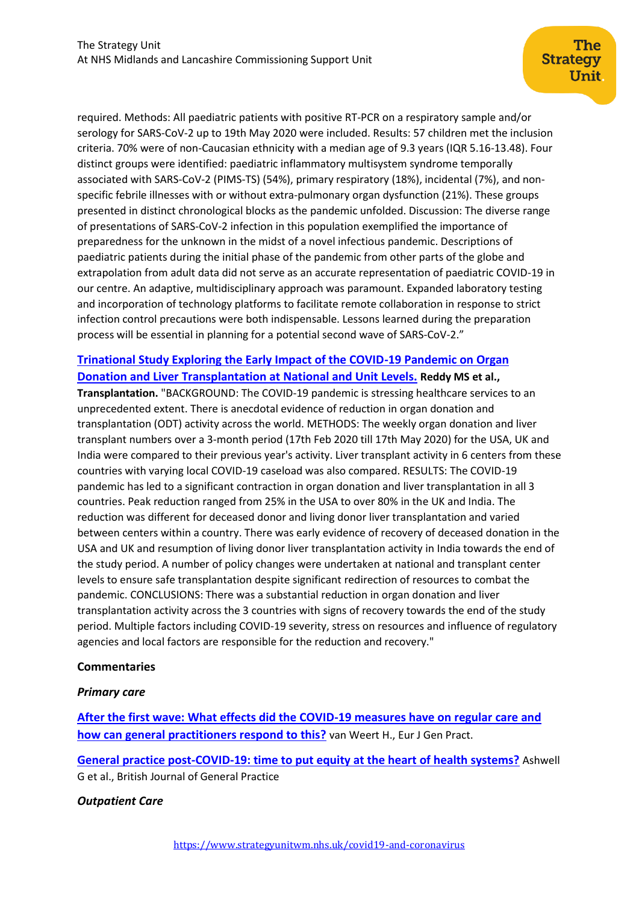required. Methods: All paediatric patients with positive RT-PCR on a respiratory sample and/or serology for SARS-CoV-2 up to 19th May 2020 were included. Results: 57 children met the inclusion criteria. 70% were of non-Caucasian ethnicity with a median age of 9.3 years (IQR 5.16-13.48). Four distinct groups were identified: paediatric inflammatory multisystem syndrome temporally associated with SARS-CoV-2 (PIMS-TS) (54%), primary respiratory (18%), incidental (7%), and nonspecific febrile illnesses with or without extra-pulmonary organ dysfunction (21%). These groups presented in distinct chronological blocks as the pandemic unfolded. Discussion: The diverse range of presentations of SARS-CoV-2 infection in this population exemplified the importance of preparedness for the unknown in the midst of a novel infectious pandemic. Descriptions of paediatric patients during the initial phase of the pandemic from other parts of the globe and extrapolation from adult data did not serve as an accurate representation of paediatric COVID-19 in our centre. An adaptive, multidisciplinary approach was paramount. Expanded laboratory testing and incorporation of technology platforms to facilitate remote collaboration in response to strict infection control precautions were both indispensable. Lessons learned during the preparation process will be essential in planning for a potential second wave of SARS-CoV-2."

## **[Trinational Study Exploring the Early Impact of the COVID-19 Pandemic on Organ](https://journals.lww.com/transplantjournal/Abstract/9000/Trinational_Study_Exploring_the_Early_Impact_of.95569.aspx)  [Donation and Liver Transplantation at National and Unit Levels.](https://journals.lww.com/transplantjournal/Abstract/9000/Trinational_Study_Exploring_the_Early_Impact_of.95569.aspx) Reddy MS et al.,**

**Transplantation.** "BACKGROUND: The COVID-19 pandemic is stressing healthcare services to an unprecedented extent. There is anecdotal evidence of reduction in organ donation and transplantation (ODT) activity across the world. METHODS: The weekly organ donation and liver transplant numbers over a 3-month period (17th Feb 2020 till 17th May 2020) for the USA, UK and India were compared to their previous year's activity. Liver transplant activity in 6 centers from these countries with varying local COVID-19 caseload was also compared. RESULTS: The COVID-19 pandemic has led to a significant contraction in organ donation and liver transplantation in all 3 countries. Peak reduction ranged from 25% in the USA to over 80% in the UK and India. The reduction was different for deceased donor and living donor liver transplantation and varied between centers within a country. There was early evidence of recovery of deceased donation in the USA and UK and resumption of living donor liver transplantation activity in India towards the end of the study period. A number of policy changes were undertaken at national and transplant center levels to ensure safe transplantation despite significant redirection of resources to combat the pandemic. CONCLUSIONS: There was a substantial reduction in organ donation and liver transplantation activity across the 3 countries with signs of recovery towards the end of the study period. Multiple factors including COVID-19 severity, stress on resources and influence of regulatory agencies and local factors are responsible for the reduction and recovery."

## **Commentaries**

## *Primary care*

**[After the first wave: What effects did the COVID-19 measures have on regular care and](https://www.tandfonline.com/doi/full/10.1080/13814788.2020.1798156?scroll=top&needAccess=true)  [how can general practitioners respond to this?](https://www.tandfonline.com/doi/full/10.1080/13814788.2020.1798156?scroll=top&needAccess=true)** van Weert H., Eur J Gen Pract.

**[General practice post-COVID-19: time to put equity at the heart of health systems?](https://bjgp.org/content/70/697/400.long)** Ashwell G et al., British Journal of General Practice

## *Outpatient Care*